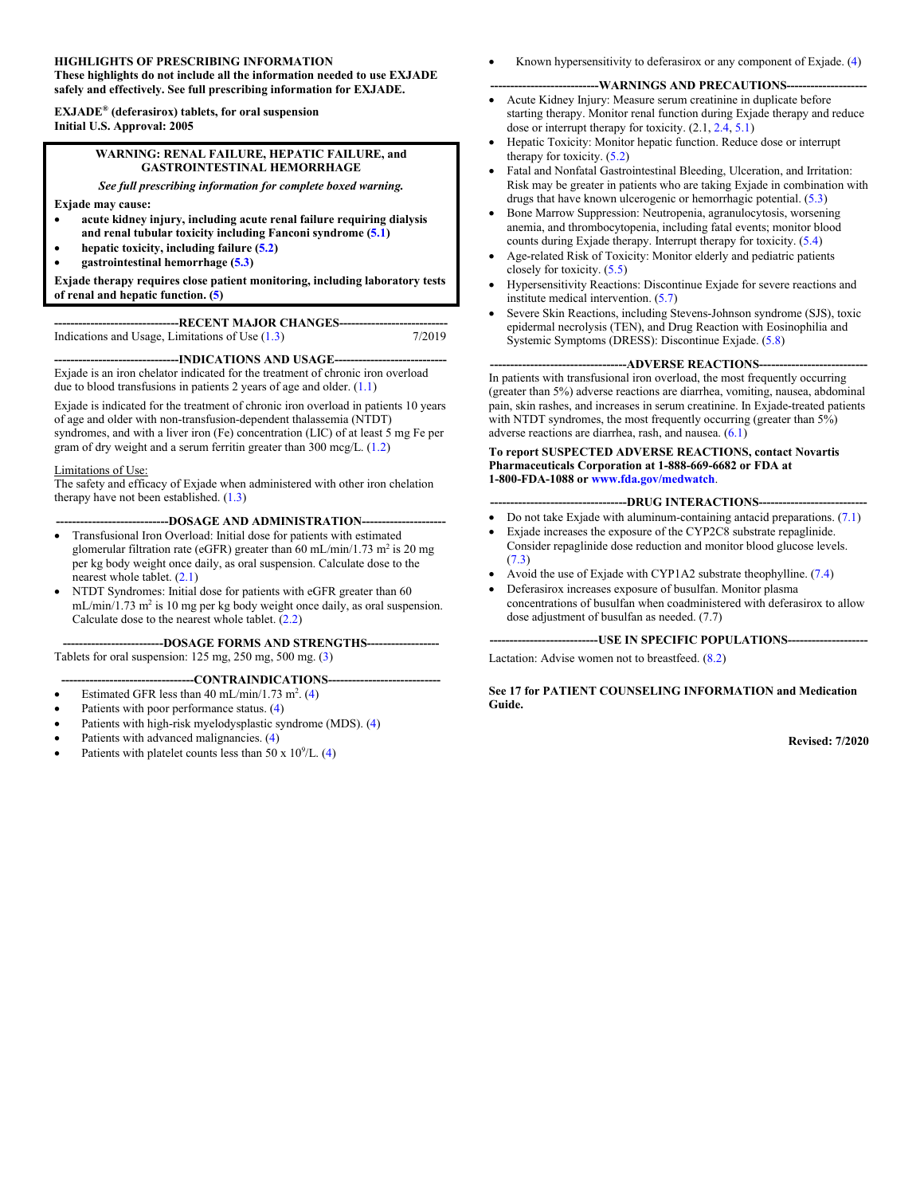#### **HIGHLIGHTS OF PRESCRIBING INFORMATION**

**These highlights do not include all the information needed to use EXJADE safely and effectively. See full prescribing information for EXJADE.**

**EXJADE® (deferasirox) tablets, for oral suspension Initial U.S. Approval: 2005**

#### **WARNING: RENAL FAILURE, HEPATIC FAILURE, and GASTROINTESTINAL HEMORRHAGE**

*See full prescribing information for complete boxed warning.*

**Exjade may cause:**

- **acute kidney injury, including acute renal failure requiring dialysis and renal tubular toxicity including Fanconi syndrome ([5.1\)](#page-7-0)**
- **hepatic toxicity, including failure ([5.2\)](#page-7-0)**
- **gastrointestinal hemorrhage [\(5.3](#page-8-0))**

**Exjade therapy requires close patient monitoring, including laboratory tests of renal and hepatic function. [\(5](#page-7-0))**

**-RECENT MAJOR CHANGES-**Indications and Usage, Limitations of Use  $(1.3)$  $(1.3)$  7/2019

--INDICATIONS AND USAGE--Exjade is an iron chelator indicated for the treatment of chronic iron overload due to blood transfusions in patients 2 years of age and older. [\(1.1](#page-2-0))

Exjade is indicated for the treatment of chronic iron overload in patients 10 years of age and older with non-transfusion-dependent thalassemia (NTDT) syndromes, and with a liver iron (Fe) concentration (LIC) of at least 5 mg Fe per gram of dry weight and a serum ferritin greater than 300 mcg/L. ([1.2](#page-2-0))

#### Limitations of Use:

The safety and efficacy of Exjade when administered with other iron chelation therapy have not been established. ([1.3\)](#page-2-0)

#### -DOSAGE AND ADMINISTRATION----

- Transfusional Iron Overload: Initial dose for patients with estimated glomerular filtration rate (eGFR) greater than 60 mL/min/1.73 m<sup>2</sup> is 20 mg per kg body weight once daily, as oral suspension. Calculate dose to the nearest whole tablet. ([2.1\)](#page-2-0)
- NTDT Syndromes: Initial dose for patients with eGFR greater than 60  $mL/min/1.73$  m<sup>2</sup> is 10 mg per kg body weight once daily, as oral suspension. Calculate dose to the nearest whole tablet. ([2.2\)](#page-3-0)

**-------------------------DOSAGE FORMS AND STRENGTHS------------------** Tablets for oral suspension: 125 mg, 250 mg, 500 mg. [\(3](#page-6-0))

#### ---CONTRAINDICATIONS---

- Estimated GFR less than 40 mL/min/1.73 m<sup>2</sup>. ([4\)](#page-6-0)
- Patients with poor performance status. ([4\)](#page-6-0)
- Patients with high-risk myelodysplastic syndrome (MDS). [\(4](#page-6-0))
- Patients with advanced malignancies. ([4\)](#page-6-0)
- Patients with platelet counts less than 50 x  $10^9$ /L. [\(4](#page-6-0))

Known hypersensitivity to deferasirox or any component of Exjade. [\(4](#page-6-0))

#### ----WARNINGS AND PRECAUTIONS---

- Acute Kidney Injury: Measure serum creatinine in duplicate before starting therapy. Monitor renal function during Exjade therapy and reduce dose or interrupt therapy for toxicity.  $(2.1, 2.4, 5.1)$  $(2.1, 2.4, 5.1)$  $(2.1, 2.4, 5.1)$  $(2.1, 2.4, 5.1)$  $(2.1, 2.4, 5.1)$
- Hepatic Toxicity: Monitor hepatic function. Reduce dose or interrupt therapy for toxicity. [\(5.2\)](#page-7-0)
- Fatal and Nonfatal Gastrointestinal Bleeding, Ulceration, and Irritation: Risk may be greater in patients who are taking Exjade in combination with drugs that have known ulcerogenic or hemorrhagic potential. ([5.3\)](#page-8-0)
- Bone Marrow Suppression: Neutropenia, agranulocytosis, worsening anemia, and thrombocytopenia, including fatal events; monitor blood counts during Exjade therapy. Interrupt therapy for toxicity. [\(5.4](#page-8-0))
- Age-related Risk of Toxicity: Monitor elderly and pediatric patients closely for toxicity. [\(5.5](#page-8-0))
- Hypersensitivity Reactions: Discontinue Exjade for severe reactions and institute medical intervention. [\(5.7](#page-9-0))
- Severe Skin Reactions, including Stevens-Johnson syndrome (SJS), toxic epidermal necrolysis (TEN), and Drug Reaction with Eosinophilia and Systemic Symptoms (DRESS): Discontinue Exjade. ([5.8\)](#page-9-0)

#### ---ADVERSE REACTIONS-

In patients with transfusional iron overload, the most frequently occurring (greater than 5%) adverse reactions are diarrhea, vomiting, nausea, abdominal pain, skin rashes, and increases in serum creatinine. In Exjade-treated patients with NTDT syndromes, the most frequently occurring (greater than 5%) adverse reactions are diarrhea, rash, and nausea. ([6.1\)](#page-10-0)

#### **To report SUSPECTED ADVERSE REACTIONS, contact Novartis Pharmaceuticals Corporation at 1-888-669-6682 or FDA at 1-800-FDA-1088 or [www.fda.gov/medwatch](http://www.fda.gov/medwatch)**.

#### ---DRUG INTERACTIONS--

- Do not take Exjade with aluminum-containing antacid preparations. [\(7.1](#page-14-0)) Exjade increases the exposure of the CYP2C8 substrate repaglinide.
- Consider repaglinide dose reduction and monitor blood glucose levels. ([7.3\)](#page-14-0)
- Avoid the use of Exjade with CYP1A2 substrate theophylline. [\(7.4](#page-15-0))
- Deferasirox increases exposure of busulfan. Monitor plasma concentrations of busulfan when coadministered with deferasirox to allow

dose adjustment of busulfan as needed. (7.7)

**---------------------------USE IN SPECIFIC POPULATIONS--------------------**

Lactation: Advise women not to breastfeed. ([8.2\)](#page-16-0)

**See 17 for PATIENT COUNSELING INFORMATION and Medication Guide.**

**Revised: 7/2020**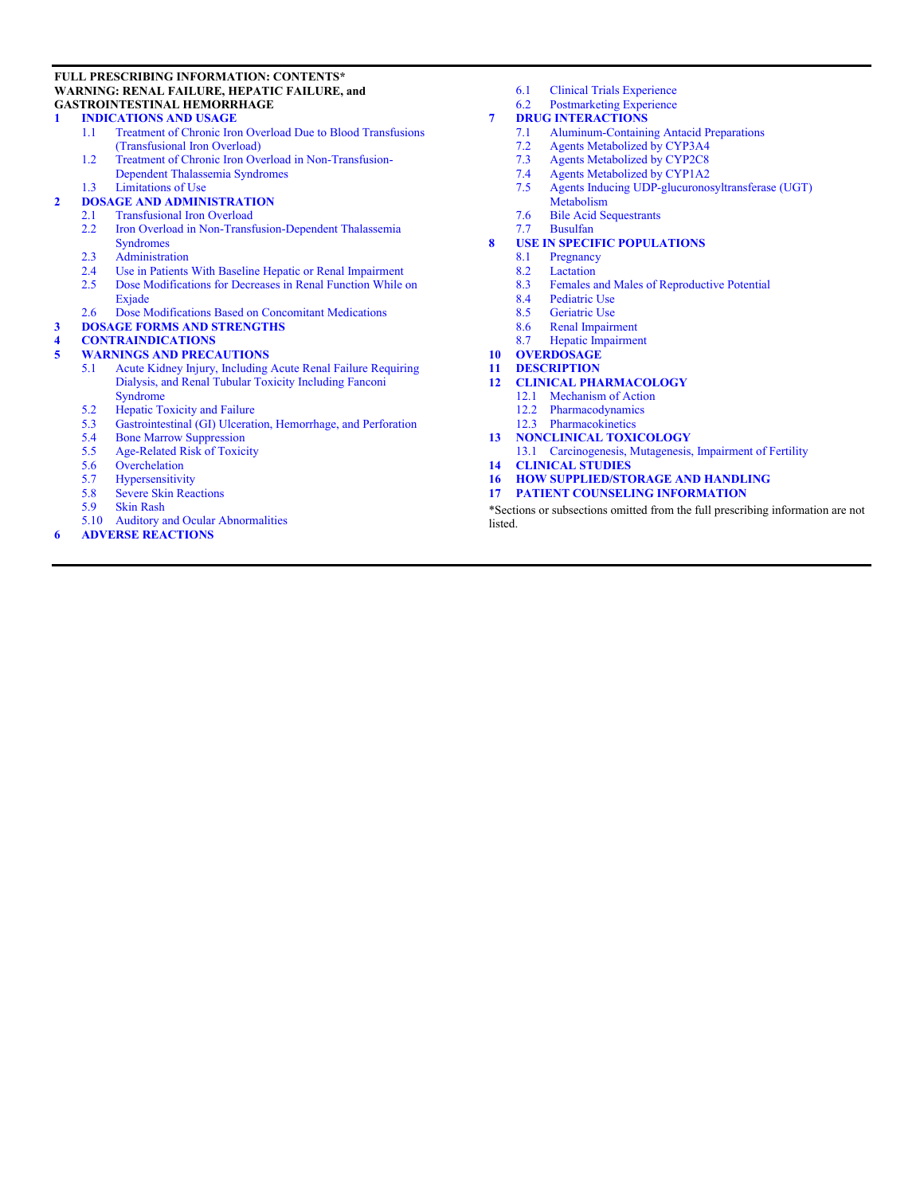#### **FULL PRESCRIBING INFORMATION: CONTENTS\* WARNING: RENAL FAILURE, HEPATIC FAILURE, and GASTROINTESTINAL HEMORRHAGE**

# **1 [INDICATIONS AND USAGE](#page-2-0)**<br>1.1 **Treatment of Chronic Iron**

- Treatment of Chronic Iron Overload Due to Blood [Transfusions](#page-2-0) [\(Transfusional](#page-2-0) Iron Overload)
- 1.2 Treatment of Chronic Iron Overload in [Non-Transfusion-](#page-2-0)Dependent [Thalassemia](#page-2-0) Syndromes
- 1.3 [Limitations](#page-2-0) of Use

# **2 DOSAGE AND [ADMINISTRATION](#page-2-0)**

# 2.1 [Transfusional](#page-2-0) Iron Overload<br>2.2 Iron Overload in Non-Transf

- Iron Overload in Non-Transfusion-Dependent Thalassemia [Syndromes](#page-3-0)
- 2.3 [Administration](#page-4-0)
- 
- 2.4 Use in Patients [With Baseline Hepatic or Renal Impairment](#page-5-0)<br>2.5 Dose Modifications for Decreases in Renal Function While Dose [Modifications](#page-5-0) for Decreases in Renal Function While on [Exjade](#page-5-0)
- 2.6 Dose [Modifications](#page-6-0) Based on Concomitant Medications
- **3 DOSAGE FORMS AND [STRENGTHS](#page-6-0)**

#### **4 [CONTRAINDICATIONS](#page-6-0)**

#### **5 WARNINGS AND [PRECAUTIONS](#page-7-0)**

- 5.1 Acute Kidney Injury, Including Acute Renal Failure [Requiring](#page-7-0)  Dialysis, and Renal Tubular Toxicity [Including](#page-7-0) Fanconi [Syndrome](#page-7-0)
- 5.2 Hepatic [Toxicity](#page-7-0) and Failure<br>5.3 Gastrointestinal (GI) Ulcerati
- 5.3 [Gastrointestinal](#page-8-0) (GI) Ulceration, Hemorrhage, and Perforation<br>5.4 Bone Marrow Suppression
- 5.4 Bone Marrow [Suppression](#page-8-0)
- 5.5 [Age-Related](#page-8-0) Risk of Toxicity
- 5.6 [Overchelation](#page-9-0)
- 5.7 [Hypersensitivity](#page-9-0)
- 5.8 Severe Skin [Reactions](#page-9-0)<br>5.9 Skin Rash
- **Skin [Rash](#page-9-0)**
- 5.10 Auditory and Ocular [Abnormalities](#page-9-0)
- **6 ADVERSE [REACTIONS](#page-10-0)**
- 6.1 [Clinical Trials Experience](#page-10-0)
- 6.2 [Postmarketing](#page-14-0) Experience

# **7 DRUG [INTERACTIONS](#page-14-0)**

- 7.1 [Aluminum-Containing](#page-14-0) Antacid Preparations
- 7.2 Agents [Metabolized](#page-14-0) by CYP3A4
- 7.3 Agents [Metabolized](#page-14-0) by CYP2C8<br>7.4 Agents Metabolized by CYP1A2
- 7.4 Agents [Metabolized](#page-15-0) by CYP1A2<br>7.5 Agents Inducing UDP-glucuronos
- Agents Inducing UDP-glucuronosyltransferase (UGT) [Metabolism](#page-15-0)
- 7.6 Bile Acid [Sequestrants](#page-15-0)
- 7.7 [Busulfan](#page-15-0)
- **8 USE IN SPECIFIC [POPULATIONS](#page-15-0)**
	- 8.1 [Pregnancy](#page-15-0)
	-
	- 8.2 [Lactation](#page-16-0)<br>8.3 Females a Females and Males of [Reproductive](#page-16-0) Potential
	- 8.4 [Pediatric](#page-16-0) Use
	- 8.5 [Geriatric](#page-17-0) Use
	- 8.6 Renal [Impairment](#page-17-0)<br>8.7 Henatic Impairment
	- Hepatic [Impairment](#page-18-0)
- **10 [OVERDOSAGE](#page-18-0)**
- **11 [DESCRIPTION](#page-18-0)**

#### **12 CLINICAL [PHARMACOLOGY](#page-18-0)**

- 12.1 [Mechanism](#page-18-0) of Action
- 12.2 [Pharmacodynamics](#page-19-0)
- 12.3 [Pharmacokinetics](#page-19-0)
- **13 [NONCLINICAL](#page-20-0) TOXICOLOGY**
- 13.1 Carcinogenesis, Mutagenesis, [Impairment of Fertility](#page-20-0)
- **14 [CLINICAL](#page-21-0) STUDIES**
- **16 HOW [SUPPLIED/STORAGE](#page-24-0) AND HANDLING**
- **17 PATIENT COUNSELING [INFORMATION](#page-24-0)**

\*Sections or subsections omitted from the full prescribing information are not listed.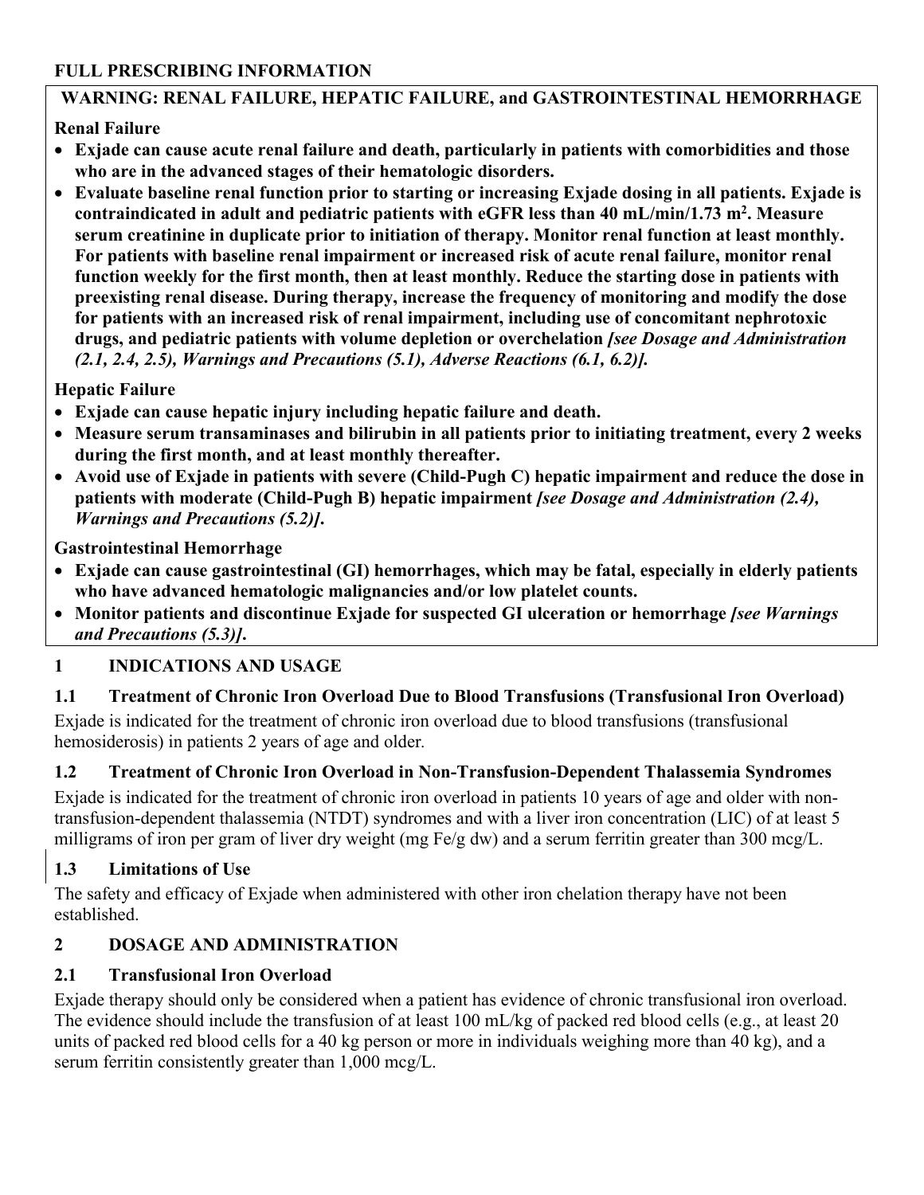#### <span id="page-2-0"></span>**FULL PRESCRIBING INFORMATION**

## **WARNING: RENAL FAILURE, HEPATIC FAILURE, and GASTROINTESTINAL HEMORRHAGE**

## **Renal Failure**

- **Exjade can cause acute renal failure and death, particularly in patients with comorbidities and those who are in the advanced stages of their hematologic disorders.**
- **Evaluate baseline renal function prior to starting or increasing Exjade dosing in all patients. Exjade is contraindicated in adult and pediatric patients with eGFR less than 40 mL/min/1.73 m<sup>2</sup> . Measure serum creatinine in duplicate prior to initiation of therapy. Monitor renal function at least monthly. For patients with baseline renal impairment or increased risk of acute renal failure, monitor renal function weekly for the first month, then at least monthly. Reduce the starting dose in patients with preexisting renal disease. During therapy, increase the frequency of monitoring and modify the dose for patients with an increased risk of renal impairment, including use of concomitant nephrotoxic drugs, and pediatric patients with volume depletion or overchelation** *[see Dosage and Administration (2.1, 2.4, 2.5), Warnings and Precautions (5.1), Adverse Reactions (6.1, 6.2)].*

## **Hepatic Failure**

- **Exjade can cause hepatic injury including hepatic failure and death.**
- **Measure serum transaminases and bilirubin in all patients prior to initiating treatment, every 2 weeks during the first month, and at least monthly thereafter.**
- **Avoid use of Exjade in patients with severe (Child-Pugh C) hepatic impairment and reduce the dose in patients with moderate (Child-Pugh B) hepatic impairment** *[see Dosage and Administration (2.4), Warnings and Precautions (5.2)]***.**

#### **Gastrointestinal Hemorrhage**

- **Exjade can cause gastrointestinal (GI) hemorrhages, which may be fatal, especially in elderly patients who have advanced hematologic malignancies and/or low platelet counts.**
- **Monitor patients and discontinue Exjade for suspected GI ulceration or hemorrhage** *[see Warnings and Precautions (5.3)]***.**

## **1 INDICATIONS AND USAGE**

## **1.1 Treatment of Chronic Iron Overload Due to Blood Transfusions (Transfusional Iron Overload)**

Exjade is indicated for the treatment of chronic iron overload due to blood transfusions (transfusional hemosiderosis) in patients 2 years of age and older*.*

## **1.2 Treatment of Chronic Iron Overload in Non-Transfusion-Dependent Thalassemia Syndromes**

Exjade is indicated for the treatment of chronic iron overload in patients 10 years of age and older with nontransfusion-dependent thalassemia (NTDT) syndromes and with a liver iron concentration (LIC) of at least 5 milligrams of iron per gram of liver dry weight (mg Fe/g dw) and a serum ferritin greater than 300 mcg/L.

## **1.3 Limitations of Use**

The safety and efficacy of Exjade when administered with other iron chelation therapy have not been established.

## **2 DOSAGE AND ADMINISTRATION**

## **2.1 Transfusional Iron Overload**

Exjade therapy should only be considered when a patient has evidence of chronic transfusional iron overload. The evidence should include the transfusion of at least 100 mL/kg of packed red blood cells (e.g., at least 20 units of packed red blood cells for a 40 kg person or more in individuals weighing more than 40 kg), and a serum ferritin consistently greater than 1,000 mcg/L.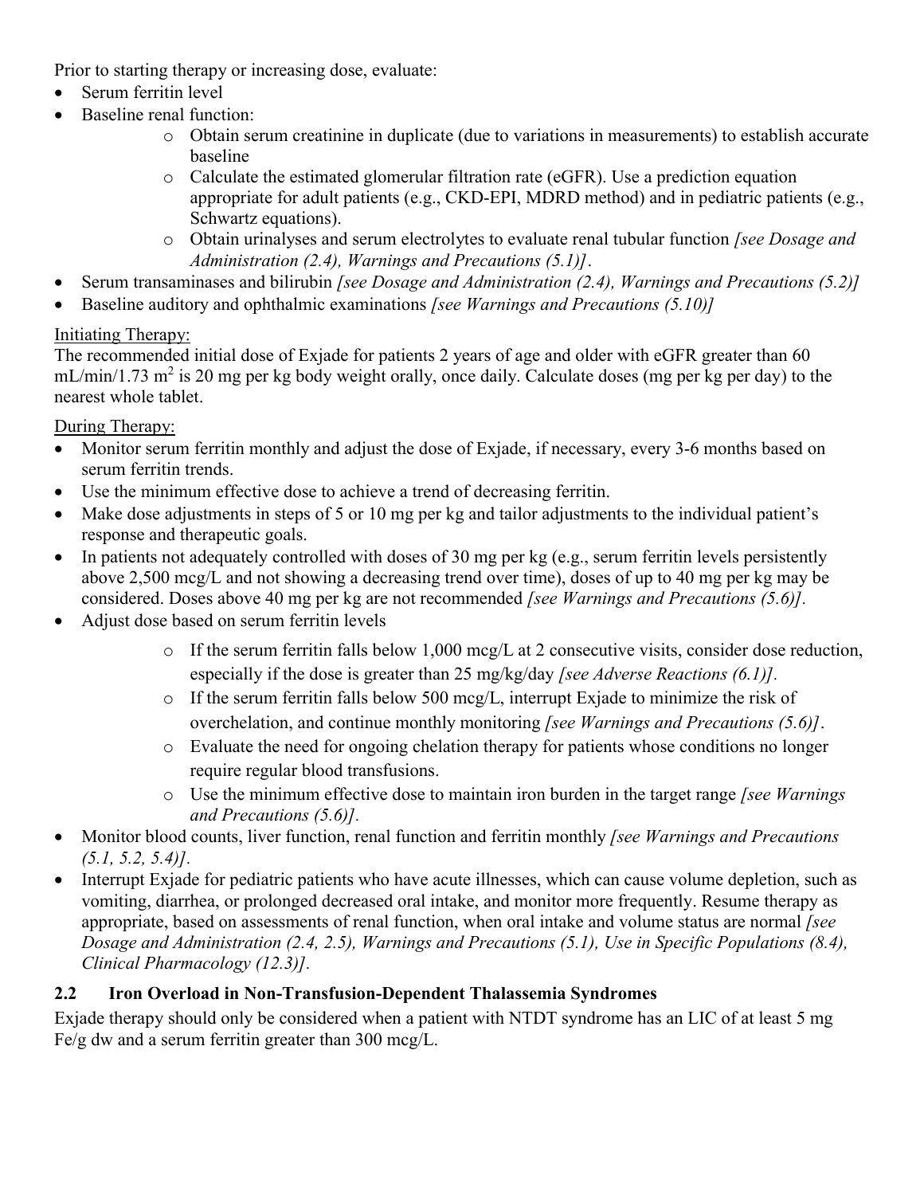<span id="page-3-0"></span>Prior to starting therapy or increasing dose, evaluate:

- Serum ferritin level
- Baseline renal function:
	- o Obtain serum creatinine in duplicate (due to variations in measurements) to establish accurate baseline
	- o Calculate the estimated glomerular filtration rate (eGFR). Use a prediction equation appropriate for adult patients (e.g., CKD-EPI, MDRD method) and in pediatric patients (e.g., Schwartz equations).
	- o Obtain urinalyses and serum electrolytes to evaluate renal tubular function *[see Dosage and Administration (2.4), Warnings and Precautions (5.1)]*.
- Serum transaminases and bilirubin *[see Dosage and Administration (2.4), Warnings and Precautions (5.2)]*
- Baseline auditory and ophthalmic examinations *[see Warnings and Precautions (5.10)]*

# Initiating Therapy:

The recommended initial dose of Exjade for patients 2 years of age and older with eGFR greater than 60  $mL/min/1.73$  m<sup>2</sup> is 20 mg per kg body weight orally, once daily. Calculate doses (mg per kg per day) to the nearest whole tablet.

During Therapy:

- Monitor serum ferritin monthly and adjust the dose of Exjade, if necessary, every 3-6 months based on serum ferritin trends.
- Use the minimum effective dose to achieve a trend of decreasing ferritin.
- Make dose adjustments in steps of 5 or 10 mg per kg and tailor adjustments to the individual patient's response and therapeutic goals.
- In patients not adequately controlled with doses of 30 mg per kg (e.g., serum ferritin levels persistently above 2,500 mcg/L and not showing a decreasing trend over time), doses of up to 40 mg per kg may be considered. Doses above 40 mg per kg are not recommended *[see Warnings and Precautions (5.6)].*
- Adjust dose based on serum ferritin levels
	- o If the serum ferritin falls below 1,000 mcg/L at 2 consecutive visits, consider dose reduction, especially if the dose is greater than 25 mg/kg/day *[see Adverse Reactions (6.1)].*
	- o If the serum ferritin falls below 500 mcg/L, interrupt Exjade to minimize the risk of overchelation, and continue monthly monitoring *[see Warnings and Precautions (5.6)]*.
	- o Evaluate the need for ongoing chelation therapy for patients whose conditions no longer require regular blood transfusions.
	- o Use the minimum effective dose to maintain iron burden in the target range *[see Warnings and Precautions (5.6)].*
- Monitor blood counts, liver function, renal function and ferritin monthly *[see Warnings and Precautions (5.1, 5.2, 5.4)].*
- Interrupt Exjade for pediatric patients who have acute illnesses, which can cause volume depletion, such as vomiting, diarrhea, or prolonged decreased oral intake, and monitor more frequently. Resume therapy as appropriate, based on assessments of renal function, when oral intake and volume status are normal *[see Dosage and Administration (2.4, 2.5), Warnings and Precautions (5.1), Use in Specific Populations (8.4), Clinical Pharmacology (12.3)].*

# **2.2 Iron Overload in Non-Transfusion-Dependent Thalassemia Syndromes**

Exjade therapy should only be considered when a patient with NTDT syndrome has an LIC of at least 5 mg Fe/g dw and a serum ferritin greater than 300 mcg/L.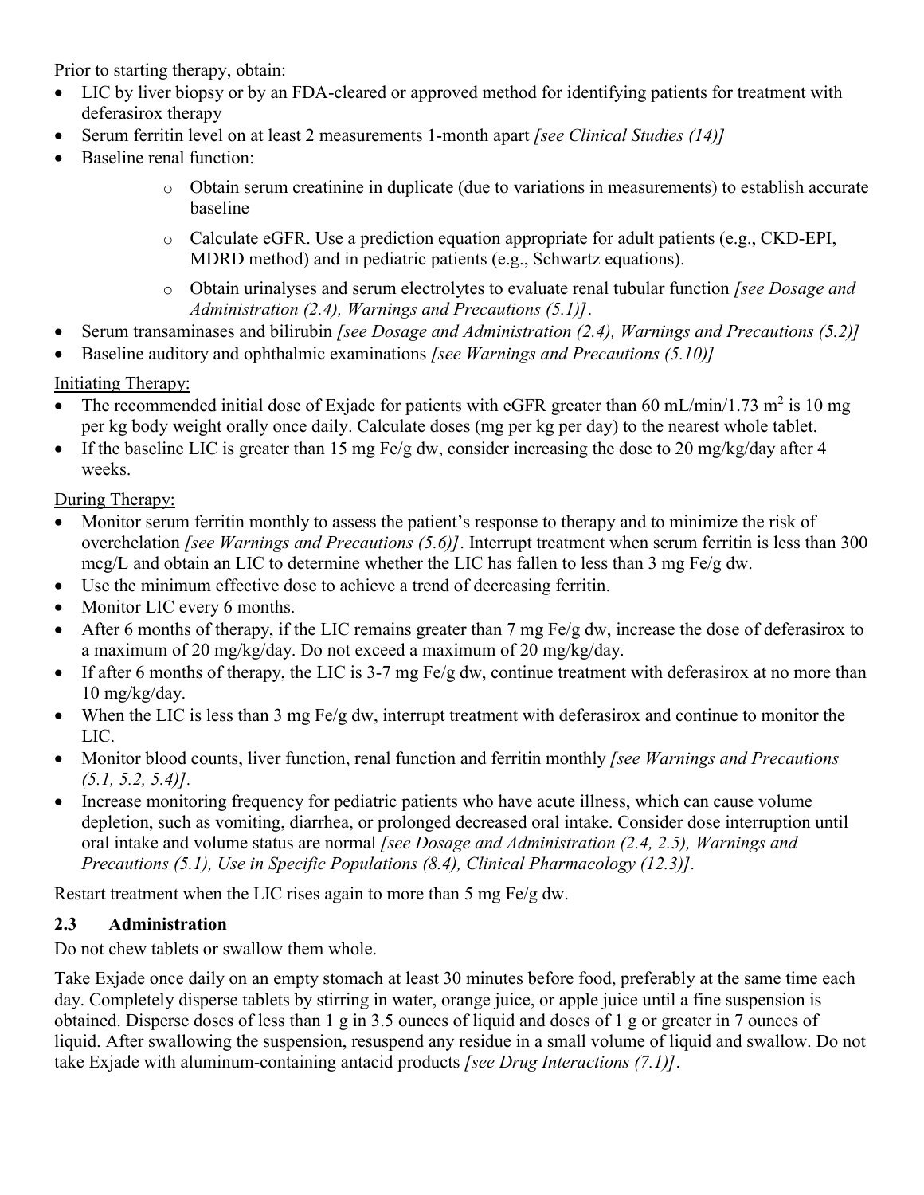<span id="page-4-0"></span>Prior to starting therapy, obtain:

- LIC by liver biopsy or by an FDA-cleared or approved method for identifying patients for treatment with deferasirox therapy
- Serum ferritin level on at least 2 measurements 1-month apart *[see Clinical Studies (14)]*
- Baseline renal function:
	- o Obtain serum creatinine in duplicate (due to variations in measurements) to establish accurate baseline
	- $\circ$  Calculate eGFR. Use a prediction equation appropriate for adult patients (e.g., CKD-EPI, MDRD method) and in pediatric patients (e.g., Schwartz equations).
	- o Obtain urinalyses and serum electrolytes to evaluate renal tubular function *[see Dosage and Administration (2.4), Warnings and Precautions (5.1)]*.
- Serum transaminases and bilirubin *[see Dosage and Administration (2.4), Warnings and Precautions (5.2)]*
- Baseline auditory and ophthalmic examinations *[see Warnings and Precautions (5.10)]*

## Initiating Therapy:

- The recommended initial dose of Exjade for patients with eGFR greater than 60 mL/min/1.73 m<sup>2</sup> is 10 mg per kg body weight orally once daily. Calculate doses (mg per kg per day) to the nearest whole tablet.
- If the baseline LIC is greater than 15 mg Fe/g dw, consider increasing the dose to 20 mg/kg/day after 4 weeks.

## During Therapy:

- Monitor serum ferritin monthly to assess the patient's response to therapy and to minimize the risk of overchelation *[see Warnings and Precautions (5.6)]*. Interrupt treatment when serum ferritin is less than 300 mcg/L and obtain an LIC to determine whether the LIC has fallen to less than 3 mg Fe/g dw.
- Use the minimum effective dose to achieve a trend of decreasing ferritin.
- Monitor LIC every 6 months.
- After 6 months of therapy, if the LIC remains greater than 7 mg Fe/g dw, increase the dose of deferasirox to a maximum of 20 mg/kg/day. Do not exceed a maximum of 20 mg/kg/day.
- If after 6 months of therapy, the LIC is 3-7 mg Fe/g dw, continue treatment with deferasirox at no more than 10 mg/kg/day.
- When the LIC is less than 3 mg Fe/g dw, interrupt treatment with deferasirox and continue to monitor the LIC.
- Monitor blood counts, liver function, renal function and ferritin monthly *[see Warnings and Precautions (5.1, 5.2, 5.4)].*
- Increase monitoring frequency for pediatric patients who have acute illness, which can cause volume depletion, such as vomiting, diarrhea, or prolonged decreased oral intake. Consider dose interruption until oral intake and volume status are normal *[see Dosage and Administration (2.4, 2.5), Warnings and Precautions (5.1), Use in Specific Populations (8.4), Clinical Pharmacology (12.3)].*

Restart treatment when the LIC rises again to more than 5 mg Fe/g dw.

## **2.3 Administration**

Do not chew tablets or swallow them whole.

Take Exjade once daily on an empty stomach at least 30 minutes before food, preferably at the same time each day. Completely disperse tablets by stirring in water, orange juice, or apple juice until a fine suspension is obtained. Disperse doses of less than 1 g in 3.5 ounces of liquid and doses of 1 g or greater in 7 ounces of liquid. After swallowing the suspension, resuspend any residue in a small volume of liquid and swallow. Do not take Exjade with aluminum-containing antacid products *[see Drug Interactions (7.1)]*.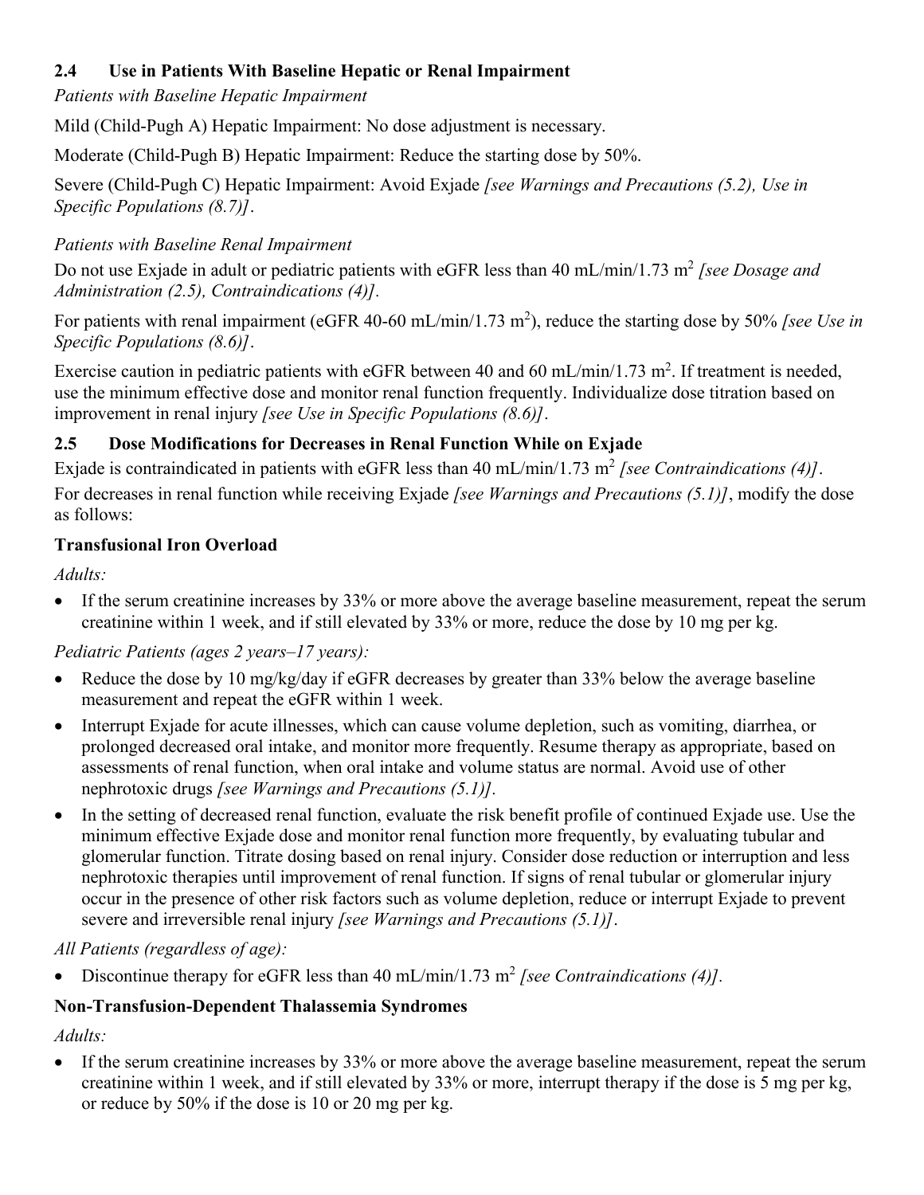## <span id="page-5-0"></span>**2.4 Use in Patients With Baseline Hepatic or Renal Impairment**

*Patients with Baseline Hepatic Impairment*

Mild (Child-Pugh A) Hepatic Impairment: No dose adjustment is necessary.

Moderate (Child-Pugh B) Hepatic Impairment: Reduce the starting dose by 50%.

Severe (Child-Pugh C) Hepatic Impairment: Avoid Exjade *[see Warnings and Precautions (5.2), Use in Specific Populations (8.7)]*.

## *Patients with Baseline Renal Impairment*

Do not use Exjade in adult or pediatric patients with eGFR less than 40 mL/min/1.73 m<sup>2</sup> [see Dosage and *Administration (2.5), Contraindications (4)].*

For patients with renal impairment (eGFR 40-60 mL/min/1.73 m<sup>2</sup>), reduce the starting dose by 50% *[see Use in Specific Populations (8.6)]*.

Exercise caution in pediatric patients with eGFR between 40 and 60 mL/min/1.73 m<sup>2</sup>. If treatment is needed, use the minimum effective dose and monitor renal function frequently. Individualize dose titration based on improvement in renal injury *[see Use in Specific Populations (8.6)]*.

# **2.5 Dose Modifications for Decreases in Renal Function While on Exjade**

Exjade is contraindicated in patients with eGFR less than  $40 \text{ mL/min}/1.73 \text{ m}^2$  [see Contraindications (4)]. For decreases in renal function while receiving Exjade *[see Warnings and Precautions (5.1)]*, modify the dose as follows:

# **Transfusional Iron Overload**

*Adults:*

 If the serum creatinine increases by 33% or more above the average baseline measurement, repeat the serum creatinine within 1 week, and if still elevated by 33% or more, reduce the dose by 10 mg per kg.

## *Pediatric Patients (ages 2 years–17 years):*

- Reduce the dose by 10 mg/kg/day if eGFR decreases by greater than 33% below the average baseline measurement and repeat the eGFR within 1 week.
- Interrupt Exjade for acute illnesses, which can cause volume depletion, such as vomiting, diarrhea, or prolonged decreased oral intake, and monitor more frequently. Resume therapy as appropriate, based on assessments of renal function, when oral intake and volume status are normal. Avoid use of other nephrotoxic drugs *[see Warnings and Precautions (5.1)].*
- In the setting of decreased renal function, evaluate the risk benefit profile of continued Exjade use. Use the minimum effective Exjade dose and monitor renal function more frequently, by evaluating tubular and glomerular function. Titrate dosing based on renal injury. Consider dose reduction or interruption and less nephrotoxic therapies until improvement of renal function. If signs of renal tubular or glomerular injury occur in the presence of other risk factors such as volume depletion, reduce or interrupt Exjade to prevent severe and irreversible renal injury *[see Warnings and Precautions (5.1)]*.

## *All Patients (regardless of age):*

• Discontinue therapy for eGFR less than  $40 \text{ mL/min}/1.73 \text{ m}^2$  *[see Contraindications (4)]*.

## **Non-Transfusion-Dependent Thalassemia Syndromes**

*Adults:*

 If the serum creatinine increases by 33% or more above the average baseline measurement, repeat the serum creatinine within 1 week, and if still elevated by 33% or more, interrupt therapy if the dose is 5 mg per kg, or reduce by 50% if the dose is 10 or 20 mg per kg.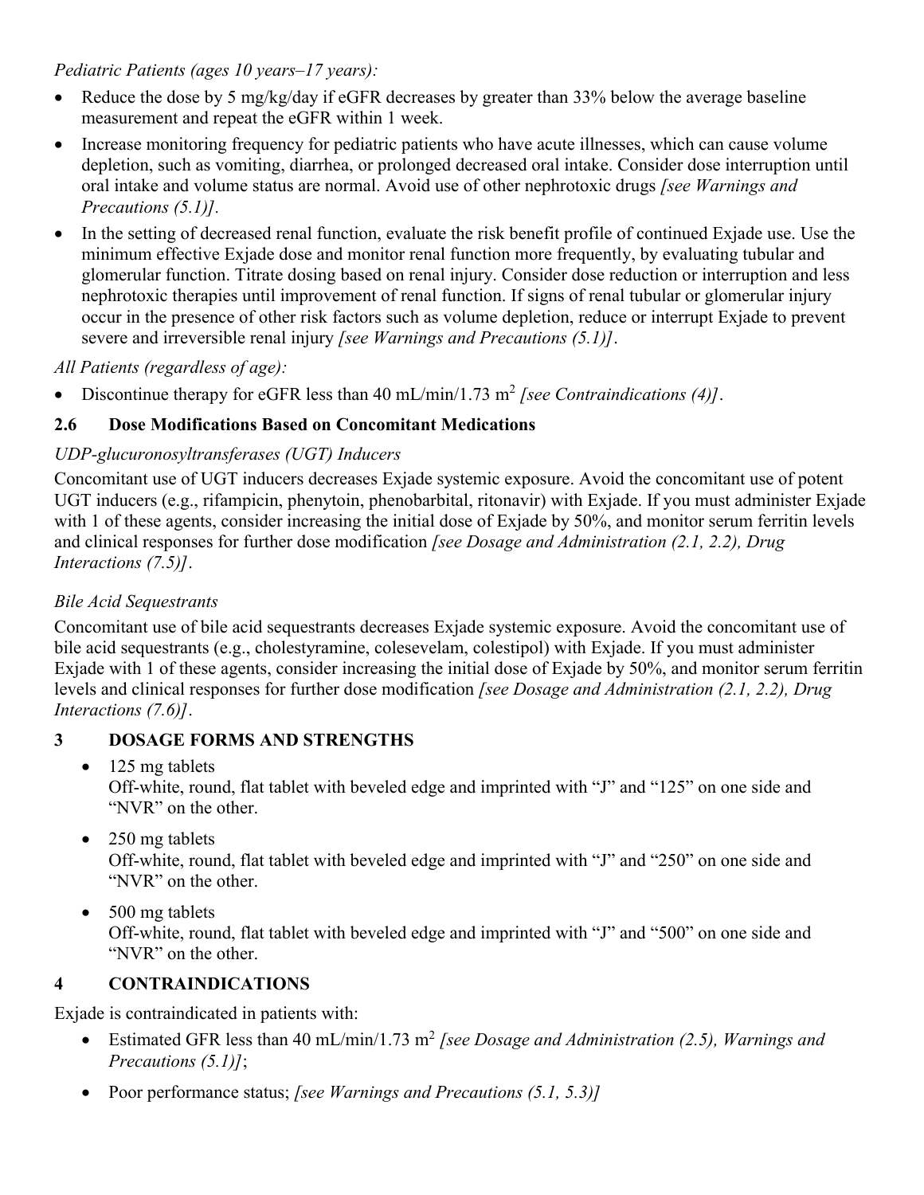#### <span id="page-6-0"></span>*Pediatric Patients (ages 10 years–17 years):*

- Reduce the dose by 5 mg/kg/day if eGFR decreases by greater than 33% below the average baseline measurement and repeat the eGFR within 1 week.
- Increase monitoring frequency for pediatric patients who have acute illnesses, which can cause volume depletion, such as vomiting, diarrhea, or prolonged decreased oral intake. Consider dose interruption until oral intake and volume status are normal. Avoid use of other nephrotoxic drugs *[see Warnings and Precautions (5.1)].*
- In the setting of decreased renal function, evaluate the risk benefit profile of continued Exjade use. Use the minimum effective Exjade dose and monitor renal function more frequently, by evaluating tubular and glomerular function. Titrate dosing based on renal injury. Consider dose reduction or interruption and less nephrotoxic therapies until improvement of renal function. If signs of renal tubular or glomerular injury occur in the presence of other risk factors such as volume depletion, reduce or interrupt Exjade to prevent severe and irreversible renal injury *[see Warnings and Precautions (5.1)]*.

## *All Patients (regardless of age):*

• Discontinue therapy for eGFR less than  $40 \text{ mL/min}/1.73 \text{ m}^2$  [see Contraindications  $(4)$ ].

## **2.6 Dose Modifications Based on Concomitant Medications**

## *UDP-glucuronosyltransferases (UGT) Inducers*

Concomitant use of UGT inducers decreases Exjade systemic exposure. Avoid the concomitant use of potent UGT inducers (e.g., rifampicin, phenytoin, phenobarbital, ritonavir) with Exjade. If you must administer Exjade with 1 of these agents, consider increasing the initial dose of Exjade by 50%, and monitor serum ferritin levels and clinical responses for further dose modification *[see Dosage and Administration (2.1, 2.2), Drug Interactions (7.5)]*.

## *Bile Acid Sequestrants*

Concomitant use of bile acid sequestrants decreases Exjade systemic exposure. Avoid the concomitant use of bile acid sequestrants (e.g., cholestyramine, colesevelam, colestipol) with Exjade. If you must administer Exjade with 1 of these agents, consider increasing the initial dose of Exjade by 50%, and monitor serum ferritin levels and clinical responses for further dose modification *[see Dosage and Administration (2.1, 2.2), Drug Interactions (7.6)]*.

## **3 DOSAGE FORMS AND STRENGTHS**

- $\bullet$  125 mg tablets Off-white, round, flat tablet with beveled edge and imprinted with "J" and "125" on one side and "NVR" on the other.
- 250 mg tablets

Off-white, round, flat tablet with beveled edge and imprinted with "J" and "250" on one side and "NVR" on the other.

• 500 mg tablets

Off-white, round, flat tablet with beveled edge and imprinted with "J" and "500" on one side and "NVR" on the other.

## **4 CONTRAINDICATIONS**

Exjade is contraindicated in patients with:

- Estimated GFR less than 40 mL/min/1.73 m<sup>2</sup> [see Dosage and Administration (2.5), Warnings and *Precautions (5.1)]*;
- Poor performance status; *[see Warnings and Precautions (5.1, 5.3)]*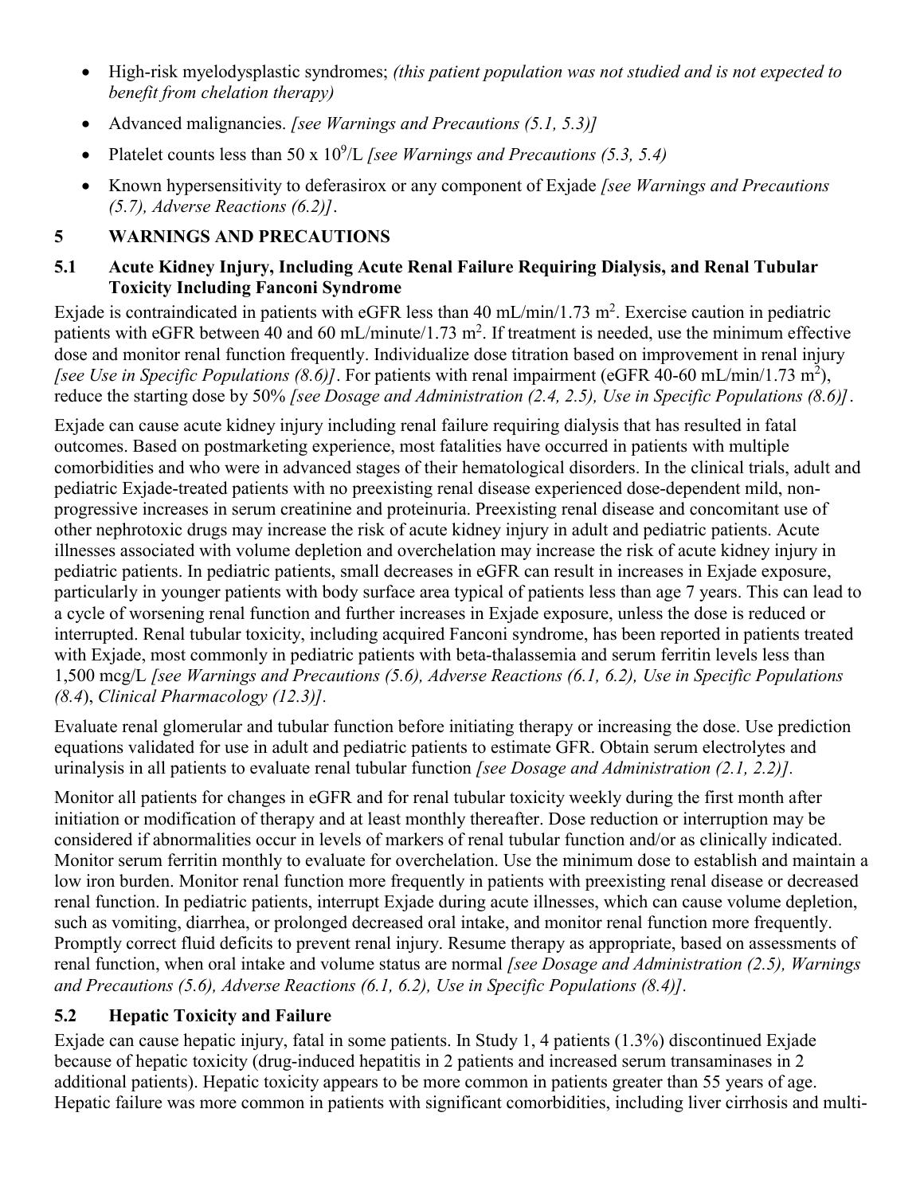- <span id="page-7-0"></span> High-risk myelodysplastic syndromes; *(this patient population was not studied and is not expected to benefit from chelation therapy)*
- Advanced malignancies. *[see Warnings and Precautions (5.1, 5.3)]*
- Platelet counts less than 50 x  $10^9$ /L *[see Warnings and Precautions (5.3, 5.4)*
- Known hypersensitivity to deferasirox or any component of Exjade *[see Warnings and Precautions (5.7), Adverse Reactions (6.2)]*.

## **5 WARNINGS AND PRECAUTIONS**

## **5.1 Acute Kidney Injury, Including Acute Renal Failure Requiring Dialysis, and Renal Tubular Toxicity Including Fanconi Syndrome**

Exjade is contraindicated in patients with eGFR less than 40 mL/min/1.73 m<sup>2</sup>. Exercise caution in pediatric patients with eGFR between 40 and 60 mL/minute/1.73 m<sup>2</sup>. If treatment is needed, use the minimum effective dose and monitor renal function frequently. Individualize dose titration based on improvement in renal injury [see Use in Specific Populations (8.6)]. For patients with renal impairment (eGFR 40-60 mL/min/1.73 m<sup>2</sup>), reduce the starting dose by 50% *[see Dosage and Administration (2.4, 2.5), Use in Specific Populations (8.6)]*.

Exjade can cause acute kidney injury including renal failure requiring dialysis that has resulted in fatal outcomes. Based on postmarketing experience, most fatalities have occurred in patients with multiple comorbidities and who were in advanced stages of their hematological disorders. In the clinical trials, adult and pediatric Exjade-treated patients with no preexisting renal disease experienced dose-dependent mild, nonprogressive increases in serum creatinine and proteinuria. Preexisting renal disease and concomitant use of other nephrotoxic drugs may increase the risk of acute kidney injury in adult and pediatric patients. Acute illnesses associated with volume depletion and overchelation may increase the risk of acute kidney injury in pediatric patients. In pediatric patients, small decreases in eGFR can result in increases in Exjade exposure, particularly in younger patients with body surface area typical of patients less than age 7 years. This can lead to a cycle of worsening renal function and further increases in Exjade exposure, unless the dose is reduced or interrupted. Renal tubular toxicity, including acquired Fanconi syndrome, has been reported in patients treated with Exjade, most commonly in pediatric patients with beta-thalassemia and serum ferritin levels less than 1,500 mcg/L *[see Warnings and Precautions (5.6), Adverse Reactions (6.1, 6.2), Use in Specific Populations (8.4*), *Clinical Pharmacology (12.3)].*

Evaluate renal glomerular and tubular function before initiating therapy or increasing the dose. Use prediction equations validated for use in adult and pediatric patients to estimate GFR. Obtain serum electrolytes and urinalysis in all patients to evaluate renal tubular function *[see Dosage and Administration (2.1, 2.2)].*

Monitor all patients for changes in eGFR and for renal tubular toxicity weekly during the first month after initiation or modification of therapy and at least monthly thereafter. Dose reduction or interruption may be considered if abnormalities occur in levels of markers of renal tubular function and/or as clinically indicated. Monitor serum ferritin monthly to evaluate for overchelation. Use the minimum dose to establish and maintain a low iron burden. Monitor renal function more frequently in patients with preexisting renal disease or decreased renal function. In pediatric patients, interrupt Exjade during acute illnesses, which can cause volume depletion, such as vomiting, diarrhea, or prolonged decreased oral intake, and monitor renal function more frequently. Promptly correct fluid deficits to prevent renal injury. Resume therapy as appropriate, based on assessments of renal function, when oral intake and volume status are normal *[see Dosage and Administration (2.5), Warnings and Precautions (5.6), Adverse Reactions (6.1, 6.2), Use in Specific Populations (8.4)].*

## **5.2 Hepatic Toxicity and Failure**

Exjade can cause hepatic injury, fatal in some patients. In Study 1, 4 patients (1.3%) discontinued Exjade because of hepatic toxicity (drug-induced hepatitis in 2 patients and increased serum transaminases in 2 additional patients). Hepatic toxicity appears to be more common in patients greater than 55 years of age. Hepatic failure was more common in patients with significant comorbidities, including liver cirrhosis and multi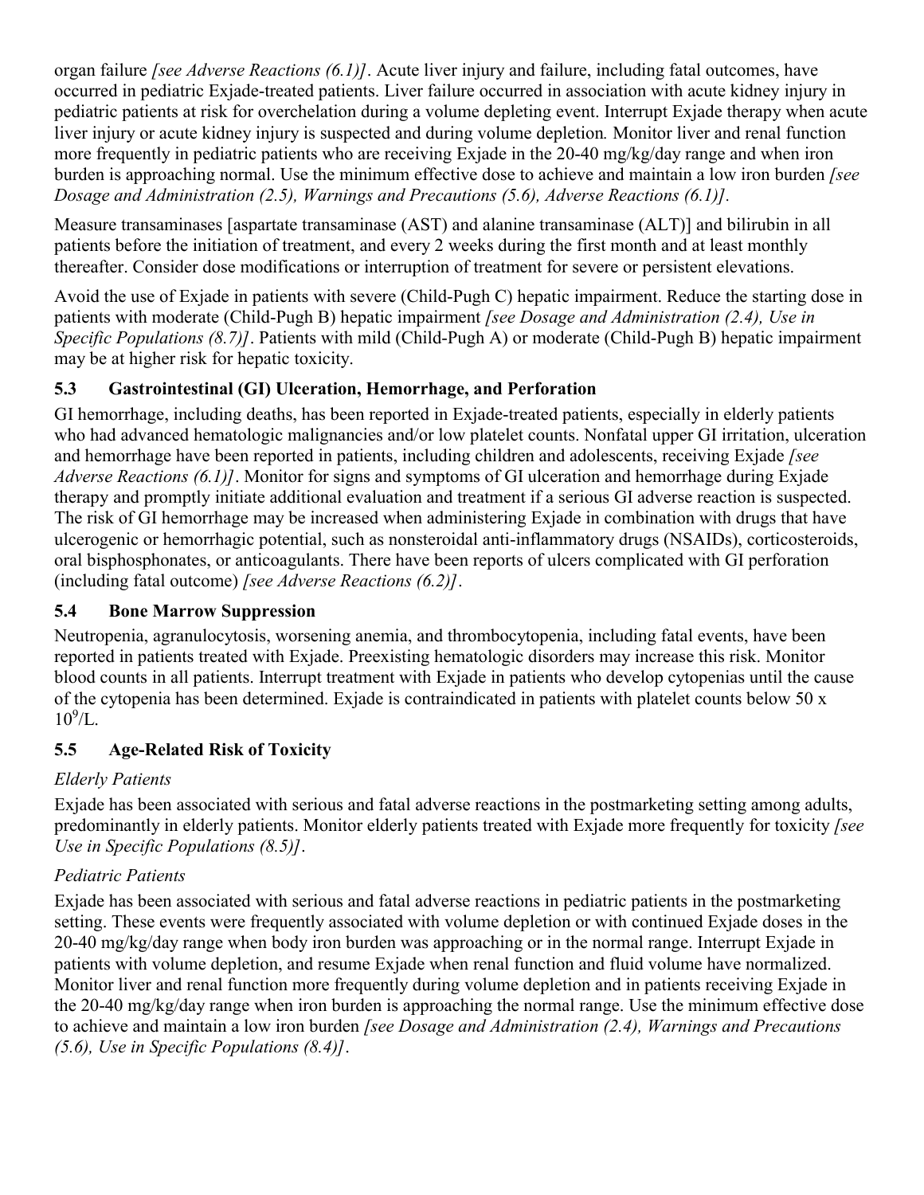<span id="page-8-0"></span>organ failure *[see Adverse Reactions (6.1)]*. Acute liver injury and failure, including fatal outcomes, have occurred in pediatric Exjade-treated patients. Liver failure occurred in association with acute kidney injury in pediatric patients at risk for overchelation during a volume depleting event. Interrupt Exjade therapy when acute liver injury or acute kidney injury is suspected and during volume depletion*.* Monitor liver and renal function more frequently in pediatric patients who are receiving Exjade in the 20-40 mg/kg/day range and when iron burden is approaching normal. Use the minimum effective dose to achieve and maintain a low iron burden *[see Dosage and Administration (2.5), Warnings and Precautions (5.6), Adverse Reactions (6.1)].*

Measure transaminases [aspartate transaminase (AST) and alanine transaminase (ALT)] and bilirubin in all patients before the initiation of treatment, and every 2 weeks during the first month and at least monthly thereafter. Consider dose modifications or interruption of treatment for severe or persistent elevations.

Avoid the use of Exjade in patients with severe (Child-Pugh C) hepatic impairment. Reduce the starting dose in patients with moderate (Child-Pugh B) hepatic impairment *[see Dosage and Administration (2.4), Use in Specific Populations (8.7)]*. Patients with mild (Child-Pugh A) or moderate (Child-Pugh B) hepatic impairment may be at higher risk for hepatic toxicity.

## **5.3 Gastrointestinal (GI) Ulceration, Hemorrhage, and Perforation**

GI hemorrhage, including deaths, has been reported in Exjade-treated patients, especially in elderly patients who had advanced hematologic malignancies and/or low platelet counts. Nonfatal upper GI irritation, ulceration and hemorrhage have been reported in patients, including children and adolescents, receiving Exjade *[see Adverse Reactions (6.1)]*. Monitor for signs and symptoms of GI ulceration and hemorrhage during Exjade therapy and promptly initiate additional evaluation and treatment if a serious GI adverse reaction is suspected. The risk of GI hemorrhage may be increased when administering Exjade in combination with drugs that have ulcerogenic or hemorrhagic potential, such as nonsteroidal anti-inflammatory drugs (NSAIDs), corticosteroids, oral bisphosphonates, or anticoagulants. There have been reports of ulcers complicated with GI perforation (including fatal outcome) *[see Adverse Reactions (6.2)]*.

## **5.4 Bone Marrow Suppression**

Neutropenia, agranulocytosis, worsening anemia, and thrombocytopenia, including fatal events, have been reported in patients treated with Exjade. Preexisting hematologic disorders may increase this risk. Monitor blood counts in all patients. Interrupt treatment with Exjade in patients who develop cytopenias until the cause of the cytopenia has been determined. Exjade is contraindicated in patients with platelet counts below 50 x  $10^{9}/L$ .

## **5.5 Age-Related Risk of Toxicity**

## *Elderly Patients*

Exjade has been associated with serious and fatal adverse reactions in the postmarketing setting among adults, predominantly in elderly patients. Monitor elderly patients treated with Exjade more frequently for toxicity *[see Use in Specific Populations (8.5)]*.

# *Pediatric Patients*

Exjade has been associated with serious and fatal adverse reactions in pediatric patients in the postmarketing setting. These events were frequently associated with volume depletion or with continued Exjade doses in the 20-40 mg/kg/day range when body iron burden was approaching or in the normal range. Interrupt Exjade in patients with volume depletion, and resume Exjade when renal function and fluid volume have normalized. Monitor liver and renal function more frequently during volume depletion and in patients receiving Exjade in the 20-40 mg/kg/day range when iron burden is approaching the normal range. Use the minimum effective dose to achieve and maintain a low iron burden *[see Dosage and Administration (2.4), Warnings and Precautions (5.6), Use in Specific Populations (8.4)]*.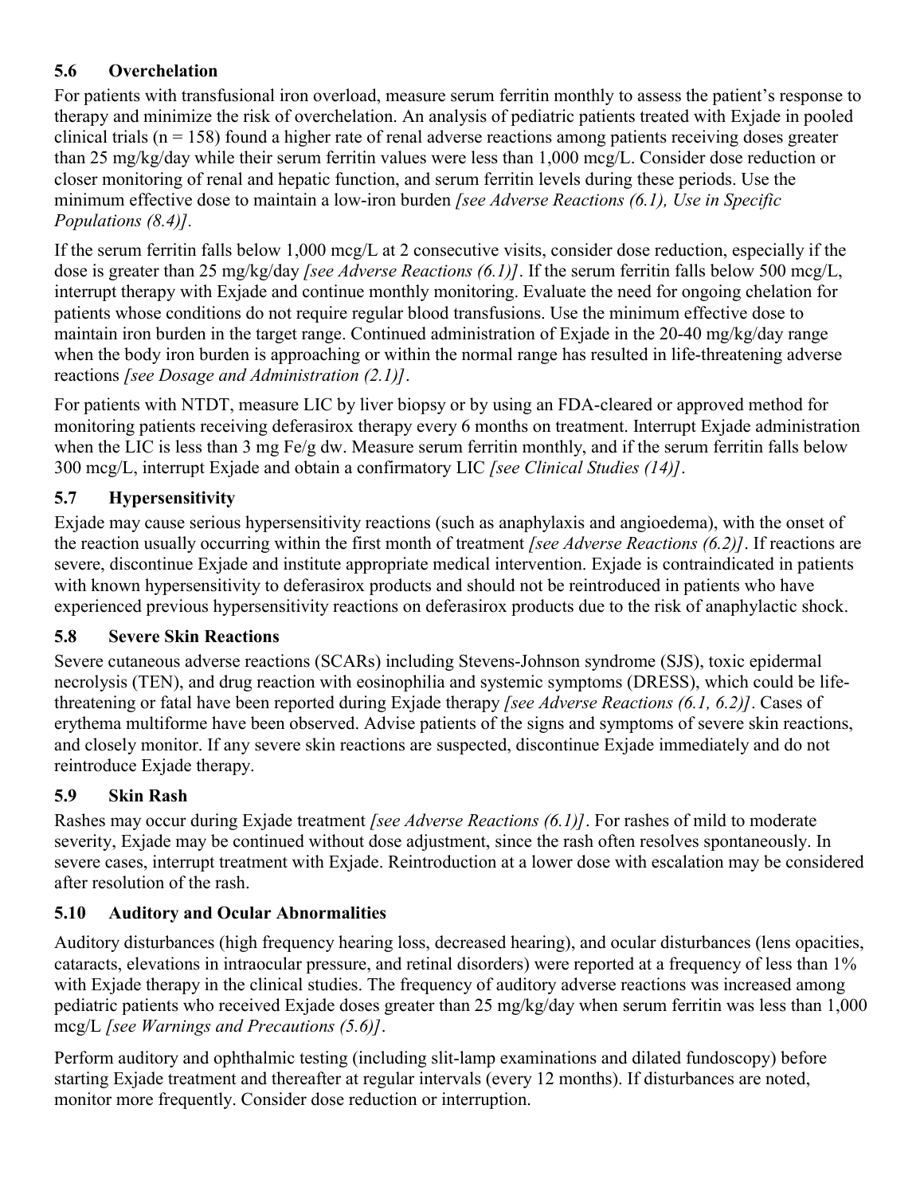## <span id="page-9-0"></span>**5.6 Overchelation**

For patients with transfusional iron overload, measure serum ferritin monthly to assess the patient's response to therapy and minimize the risk of overchelation. An analysis of pediatric patients treated with Exjade in pooled clinical trials (n = 158) found a higher rate of renal adverse reactions among patients receiving doses greater than 25 mg/kg/day while their serum ferritin values were less than 1,000 mcg/L. Consider dose reduction or closer monitoring of renal and hepatic function, and serum ferritin levels during these periods. Use the minimum effective dose to maintain a low-iron burden *[see Adverse Reactions (6.1), Use in Specific Populations (8.4)].*

If the serum ferritin falls below 1,000 mcg/L at 2 consecutive visits, consider dose reduction, especially if the dose is greater than 25 mg/kg/day *[see Adverse Reactions (6.1)]*. If the serum ferritin falls below 500 mcg/L, interrupt therapy with Exjade and continue monthly monitoring. Evaluate the need for ongoing chelation for patients whose conditions do not require regular blood transfusions. Use the minimum effective dose to maintain iron burden in the target range. Continued administration of Exjade in the 20-40 mg/kg/day range when the body iron burden is approaching or within the normal range has resulted in life-threatening adverse reactions *[see Dosage and Administration (2.1)]*.

For patients with NTDT, measure LIC by liver biopsy or by using an FDA-cleared or approved method for monitoring patients receiving deferasirox therapy every 6 months on treatment. Interrupt Exjade administration when the LIC is less than 3 mg Fe/g dw. Measure serum ferritin monthly, and if the serum ferritin falls below 300 mcg/L, interrupt Exjade and obtain a confirmatory LIC *[see Clinical Studies (14)]*.

# **5.7 Hypersensitivity**

Exjade may cause serious hypersensitivity reactions (such as anaphylaxis and angioedema), with the onset of the reaction usually occurring within the first month of treatment *[see Adverse Reactions (6.2)]*. If reactions are severe, discontinue Exjade and institute appropriate medical intervention. Exjade is contraindicated in patients with known hypersensitivity to deferasirox products and should not be reintroduced in patients who have experienced previous hypersensitivity reactions on deferasirox products due to the risk of anaphylactic shock.

## **5.8 Severe Skin Reactions**

Severe cutaneous adverse reactions (SCARs) including Stevens-Johnson syndrome (SJS), toxic epidermal necrolysis (TEN), and drug reaction with eosinophilia and systemic symptoms (DRESS), which could be lifethreatening or fatal have been reported during Exjade therapy *[see Adverse Reactions (6.1, 6.2)]*. Cases of erythema multiforme have been observed. Advise patients of the signs and symptoms of severe skin reactions, and closely monitor. If any severe skin reactions are suspected, discontinue Exjade immediately and do not reintroduce Exjade therapy.

# **5.9 Skin Rash**

Rashes may occur during Exjade treatment *[see Adverse Reactions (6.1)]*. For rashes of mild to moderate severity, Exjade may be continued without dose adjustment, since the rash often resolves spontaneously. In severe cases, interrupt treatment with Exjade. Reintroduction at a lower dose with escalation may be considered after resolution of the rash.

## **5.10 Auditory and Ocular Abnormalities**

Auditory disturbances (high frequency hearing loss, decreased hearing), and ocular disturbances (lens opacities, cataracts, elevations in intraocular pressure, and retinal disorders) were reported at a frequency of less than 1% with Exjade therapy in the clinical studies. The frequency of auditory adverse reactions was increased among pediatric patients who received Exjade doses greater than 25 mg/kg/day when serum ferritin was less than 1,000 mcg/L *[see Warnings and Precautions (5.6)]*.

Perform auditory and ophthalmic testing (including slit-lamp examinations and dilated fundoscopy) before starting Exjade treatment and thereafter at regular intervals (every 12 months). If disturbances are noted, monitor more frequently. Consider dose reduction or interruption.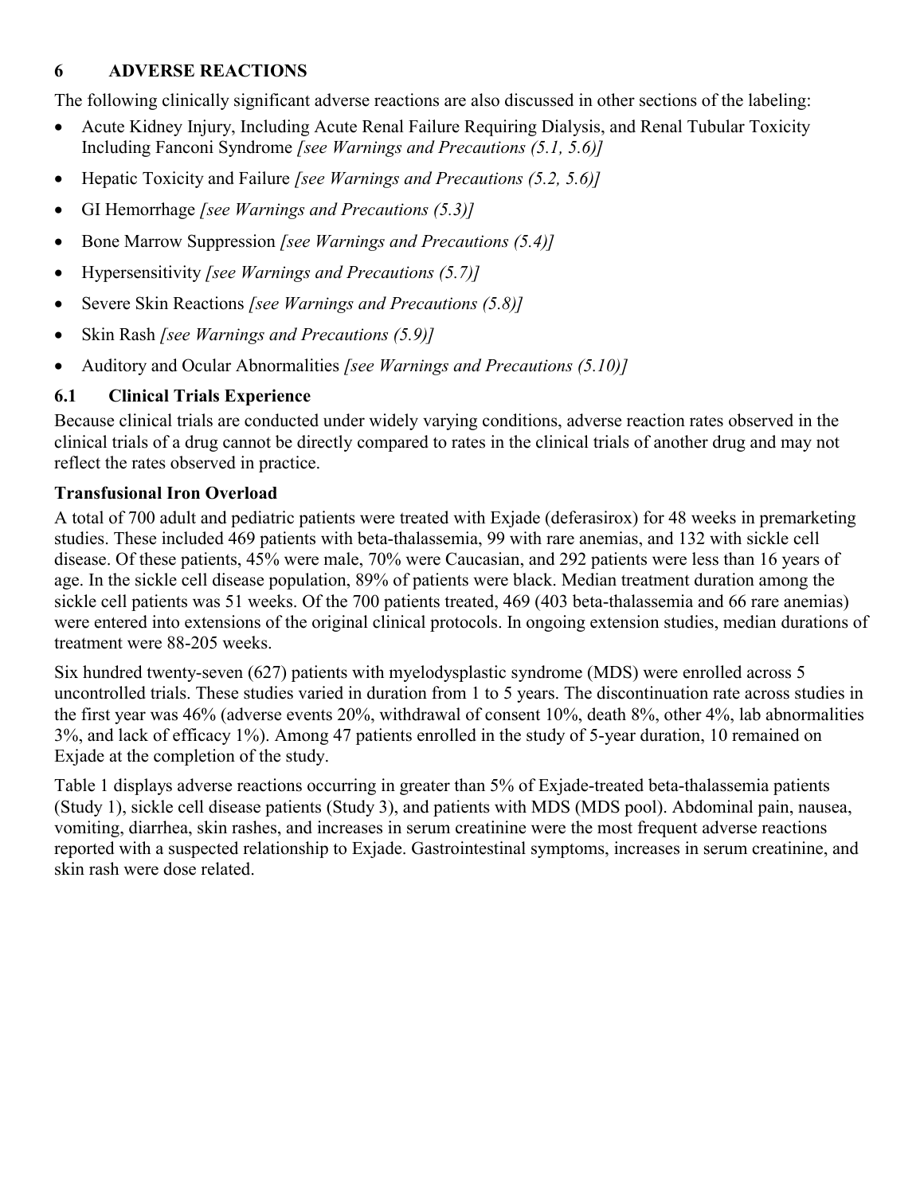## <span id="page-10-0"></span>**6 ADVERSE REACTIONS**

The following clinically significant adverse reactions are also discussed in other sections of the labeling:

- Acute Kidney Injury, Including Acute Renal Failure Requiring Dialysis, and Renal Tubular Toxicity Including Fanconi Syndrome *[see Warnings and Precautions (5.1, 5.6)]*
- Hepatic Toxicity and Failure *[see Warnings and Precautions (5.2, 5.6)]*
- GI Hemorrhage *[see Warnings and Precautions (5.3)]*
- Bone Marrow Suppression *[see Warnings and Precautions (5.4)]*
- Hypersensitivity *[see Warnings and Precautions (5.7)]*
- Severe Skin Reactions *[see Warnings and Precautions (5.8)]*
- Skin Rash *[see Warnings and Precautions (5.9)]*
- Auditory and Ocular Abnormalities *[see Warnings and Precautions (5.10)]*

# **6.1 Clinical Trials Experience**

Because clinical trials are conducted under widely varying conditions, adverse reaction rates observed in the clinical trials of a drug cannot be directly compared to rates in the clinical trials of another drug and may not reflect the rates observed in practice.

# **Transfusional Iron Overload**

A total of 700 adult and pediatric patients were treated with Exjade (deferasirox) for 48 weeks in premarketing studies. These included 469 patients with beta-thalassemia, 99 with rare anemias, and 132 with sickle cell disease. Of these patients, 45% were male, 70% were Caucasian, and 292 patients were less than 16 years of age. In the sickle cell disease population, 89% of patients were black. Median treatment duration among the sickle cell patients was 51 weeks. Of the 700 patients treated, 469 (403 beta-thalassemia and 66 rare anemias) were entered into extensions of the original clinical protocols. In ongoing extension studies, median durations of treatment were 88-205 weeks.

Six hundred twenty-seven (627) patients with myelodysplastic syndrome (MDS) were enrolled across 5 uncontrolled trials. These studies varied in duration from 1 to 5 years. The discontinuation rate across studies in the first year was 46% (adverse events 20%, withdrawal of consent 10%, death 8%, other 4%, lab abnormalities 3%, and lack of efficacy 1%). Among 47 patients enrolled in the study of 5-year duration, 10 remained on Exjade at the completion of the study.

Table 1 displays adverse reactions occurring in greater than 5% of Exjade-treated beta-thalassemia patients (Study 1), sickle cell disease patients (Study 3), and patients with MDS (MDS pool). Abdominal pain, nausea, vomiting, diarrhea, skin rashes, and increases in serum creatinine were the most frequent adverse reactions reported with a suspected relationship to Exjade. Gastrointestinal symptoms, increases in serum creatinine, and skin rash were dose related.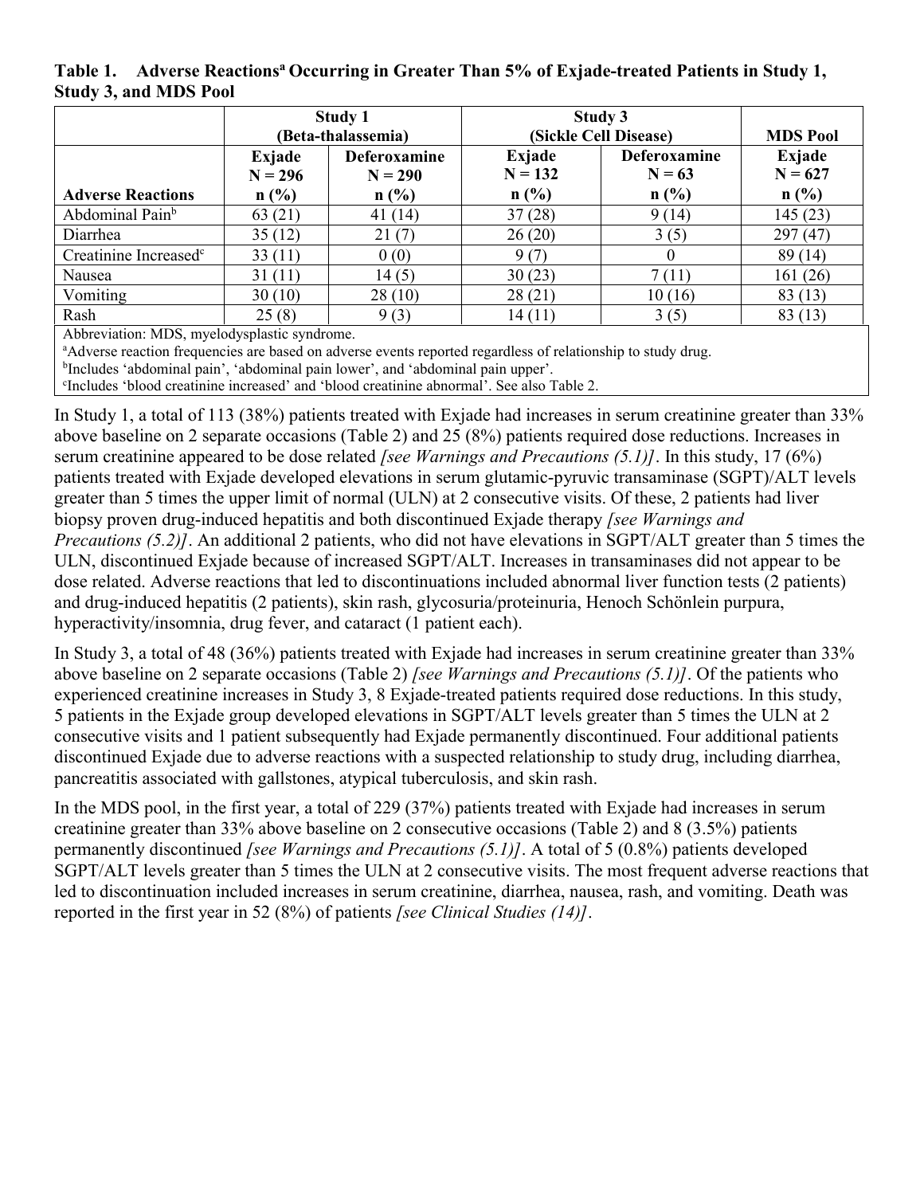**Table 1. Adverse Reactions<sup>a</sup> Occurring in Greater Than 5% of Exjade-treated Patients in Study 1, Study 3, and MDS Pool**

|                                   | Study 1<br>(Beta-thalassemia)           |                                             | Study 3<br>(Sickle Cell Disease) | <b>MDS Pool</b>                            |                                                    |
|-----------------------------------|-----------------------------------------|---------------------------------------------|----------------------------------|--------------------------------------------|----------------------------------------------------|
| <b>Adverse Reactions</b>          | Exjade<br>$N = 296$<br>n(%)             | <b>Deferoxamine</b><br>$N = 290$<br>$n$ (%) | Exjade<br>$N = 132$<br>$n$ (%)   | <b>Deferoxamine</b><br>$N = 63$<br>$n$ (%) | Exjade<br>$N = 627$<br>$n\left(\frac{0}{0}\right)$ |
| Abdominal Pain <sup>b</sup>       | 63(21)                                  | 41(14)                                      | 37(28)                           | 9(14)                                      | 145 (23)                                           |
| Diarrhea                          | 35(12)                                  | 21(7)                                       | 26(20)                           | 3(5)                                       | 297(47)                                            |
| Creatinine Increased <sup>c</sup> | 33(11)                                  | 0(0)                                        | 9(7)                             |                                            | 89 (14)                                            |
| Nausea                            | 31(11)                                  | 14(5)                                       | 30(23)                           | 7(11)                                      | 161(26)                                            |
| Vomiting                          | 30(10)                                  | 28(10)                                      | 28(21)                           | 10(16)                                     | 83(13)                                             |
| Rash<br>$\cdots$<br>$\sim$ $\sim$ | 25(8)<br>$\sim$ $\sim$<br>$\sim$ $\sim$ | 9(3)                                        | 14(11)                           | 3(5)                                       | 83(13)                                             |

Abbreviation: MDS, myelodysplastic syndrome.

<sup>a</sup>Adverse reaction frequencies are based on adverse events reported regardless of relationship to study drug.

<sup>b</sup>Includes 'abdominal pain', 'abdominal pain lower', and 'abdominal pain upper'. c Includes 'blood creatinine increased' and 'blood creatinine abnormal'. See also Table 2.

In Study 1, a total of 113 (38%) patients treated with Exjade had increases in serum creatinine greater than 33% above baseline on 2 separate occasions (Table 2) and 25 (8%) patients required dose reductions. Increases in serum creatinine appeared to be dose related *[see Warnings and Precautions (5.1)]*. In this study, 17 (6%) patients treated with Exjade developed elevations in serum glutamic-pyruvic transaminase (SGPT)/ALT levels greater than 5 times the upper limit of normal (ULN) at 2 consecutive visits. Of these, 2 patients had liver biopsy proven drug-induced hepatitis and both discontinued Exjade therapy *[see Warnings and Precautions (5.2)]*. An additional 2 patients, who did not have elevations in SGPT/ALT greater than 5 times the ULN, discontinued Exjade because of increased SGPT/ALT. Increases in transaminases did not appear to be dose related. Adverse reactions that led to discontinuations included abnormal liver function tests (2 patients) and drug-induced hepatitis (2 patients), skin rash, glycosuria/proteinuria, Henoch Schönlein purpura, hyperactivity/insomnia, drug fever, and cataract (1 patient each).

In Study 3, a total of 48 (36%) patients treated with Exjade had increases in serum creatinine greater than 33% above baseline on 2 separate occasions (Table 2) *[see Warnings and Precautions (5.1)]*. Of the patients who experienced creatinine increases in Study 3, 8 Exjade-treated patients required dose reductions. In this study, 5 patients in the Exjade group developed elevations in SGPT/ALT levels greater than 5 times the ULN at 2 consecutive visits and 1 patient subsequently had Exjade permanently discontinued. Four additional patients discontinued Exjade due to adverse reactions with a suspected relationship to study drug, including diarrhea, pancreatitis associated with gallstones, atypical tuberculosis, and skin rash.

In the MDS pool, in the first year, a total of 229 (37%) patients treated with Exjade had increases in serum creatinine greater than 33% above baseline on 2 consecutive occasions (Table 2) and 8 (3.5%) patients permanently discontinued *[see Warnings and Precautions (5.1)]*. A total of 5 (0.8%) patients developed SGPT/ALT levels greater than 5 times the ULN at 2 consecutive visits. The most frequent adverse reactions that led to discontinuation included increases in serum creatinine, diarrhea, nausea, rash, and vomiting. Death was reported in the first year in 52 (8%) of patients *[see Clinical Studies (14)]*.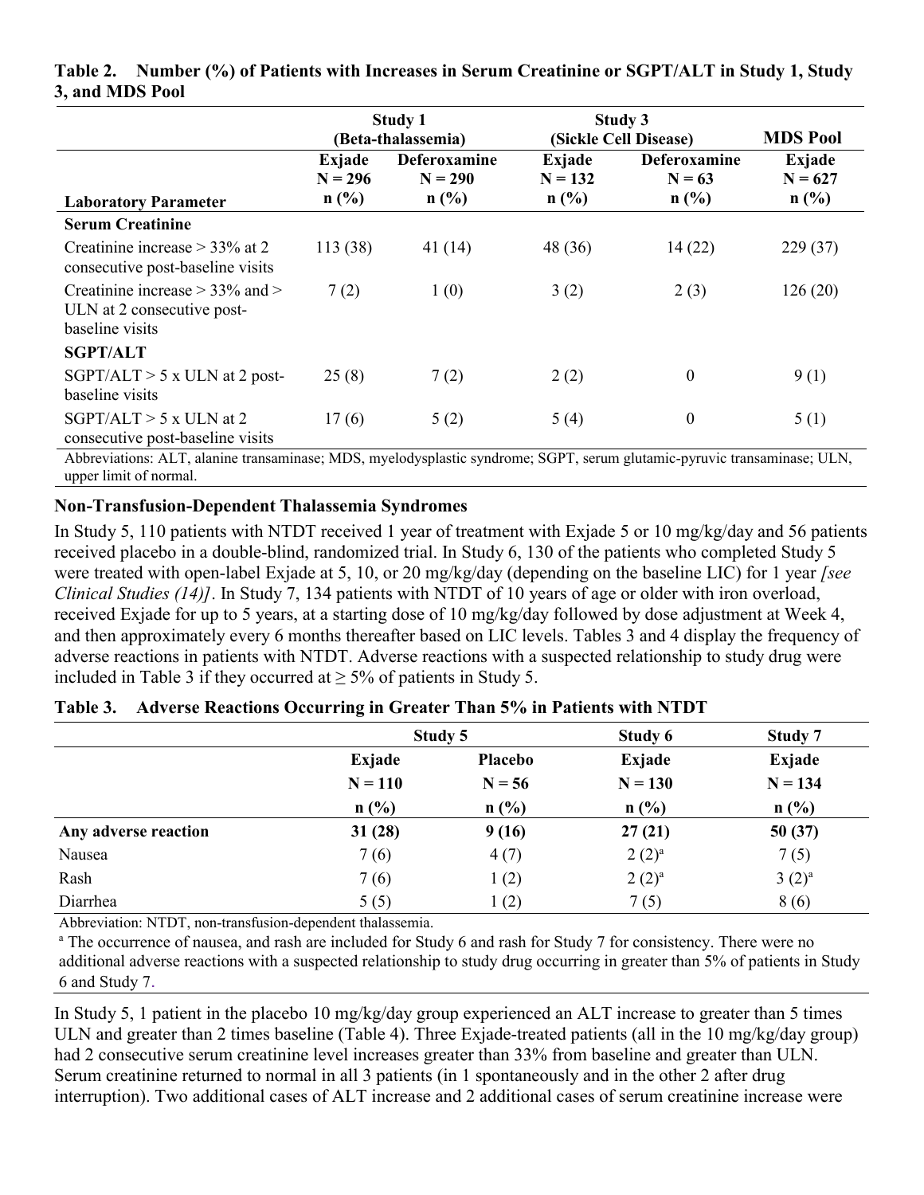|                                                                                      | <b>Study 1</b><br>(Beta-thalassemia) |                           | Study 3<br>(Sickle Cell Disease) |                                 | <b>MDS Pool</b>     |
|--------------------------------------------------------------------------------------|--------------------------------------|---------------------------|----------------------------------|---------------------------------|---------------------|
|                                                                                      | Exjade<br>$N = 296$                  | Deferoxamine<br>$N = 290$ | Exjade<br>$N = 132$              | <b>Deferoxamine</b><br>$N = 63$ | Exjade<br>$N = 627$ |
| <b>Laboratory Parameter</b>                                                          | $n$ (%)                              | $n$ (%)                   | $n$ (%)                          | $n$ (%)                         | $n$ (%)             |
| <b>Serum Creatinine</b>                                                              |                                      |                           |                                  |                                 |                     |
| Creatinine increase $>$ 33% at 2<br>consecutive post-baseline visits                 | 113 (38)                             | 41(14)                    | 48 (36)                          | 14(22)                          | 229(37)             |
| Creatinine increase $>$ 33% and $>$<br>ULN at 2 consecutive post-<br>baseline visits | 7(2)                                 | 1(0)                      | 3(2)                             | 2(3)                            | 126(20)             |
| <b>SGPT/ALT</b>                                                                      |                                      |                           |                                  |                                 |                     |
| $SGPT/ALT$ > 5 x ULN at 2 post-<br>baseline visits                                   | 25(8)                                | 7(2)                      | 2(2)                             | $\boldsymbol{0}$                | 9(1)                |
| $SGPT/ALT > 5$ x ULN at 2<br>consecutive post-baseline visits                        | 17(6)                                | 5(2)                      | 5(4)                             | $\boldsymbol{0}$                | 5(1)                |

#### **Table 2. Number (%) of Patients with Increases in Serum Creatinine or SGPT/ALT in Study 1, Study 3, and MDS Pool**

Abbreviations: ALT, alanine transaminase; MDS, myelodysplastic syndrome; SGPT, serum glutamic-pyruvic transaminase; ULN, upper limit of normal.

## **Non-Transfusion-Dependent Thalassemia Syndromes**

In Study 5, 110 patients with NTDT received 1 year of treatment with Exjade 5 or 10 mg/kg/day and 56 patients received placebo in a double-blind, randomized trial. In Study 6, 130 of the patients who completed Study 5 were treated with open-label Exjade at 5, 10, or 20 mg/kg/day (depending on the baseline LIC) for 1 year *[see Clinical Studies (14)]*. In Study 7, 134 patients with NTDT of 10 years of age or older with iron overload, received Exjade for up to 5 years, at a starting dose of 10 mg/kg/day followed by dose adjustment at Week 4, and then approximately every 6 months thereafter based on LIC levels. Tables 3 and 4 display the frequency of adverse reactions in patients with NTDT. Adverse reactions with a suspected relationship to study drug were included in Table 3 if they occurred at  $\geq$  5% of patients in Study 5.

|                      | Study 5   |                | Study 6   | Study 7    |
|----------------------|-----------|----------------|-----------|------------|
|                      | Exjade    | <b>Placebo</b> | Exjade    | Exjade     |
|                      | $N = 110$ | $N = 56$       | $N = 130$ | $N = 134$  |
|                      | $n$ (%)   | n(%)           | $n$ (%)   | $n$ (%)    |
| Any adverse reaction | 31(28)    | 9(16)          | 27(21)    | 50(37)     |
| Nausea               | 7(6)      | 4(7)           | $2(2)^a$  | 7(5)       |
| Rash                 | 7(6)      | 1(2)           | $2(2)^a$  | $3(2)^{a}$ |
| Diarrhea             | 5(5)      | 1(2)           | 7(5)      | 8(6)       |

Abbreviation: NTDT, non-transfusion-dependent thalassemia.

<sup>a</sup> The occurrence of nausea, and rash are included for Study 6 and rash for Study 7 for consistency. There were no additional adverse reactions with a suspected relationship to study drug occurring in greater than 5% of patients in Study 6 and Study 7.

In Study 5, 1 patient in the placebo 10 mg/kg/day group experienced an ALT increase to greater than 5 times ULN and greater than 2 times baseline (Table 4). Three Exjade-treated patients (all in the 10 mg/kg/day group) had 2 consecutive serum creatinine level increases greater than 33% from baseline and greater than ULN. Serum creatinine returned to normal in all 3 patients (in 1 spontaneously and in the other 2 after drug interruption). Two additional cases of ALT increase and 2 additional cases of serum creatinine increase were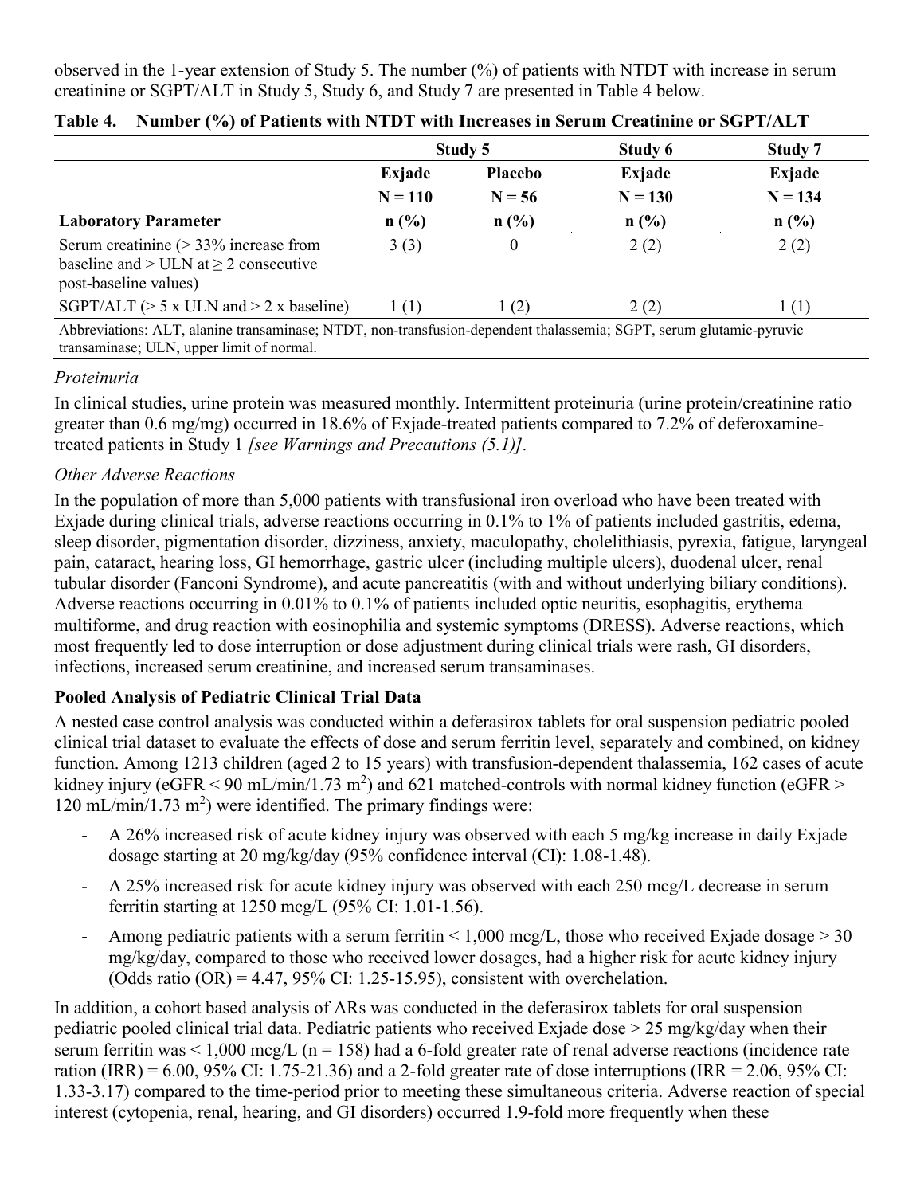observed in the 1-year extension of Study 5. The number (%) of patients with NTDT with increase in serum creatinine or SGPT/ALT in Study 5, Study 6, and Study 7 are presented in Table 4 below.

|                                                                                                                   | Study 5   |                | Study 6   | Study 7   |
|-------------------------------------------------------------------------------------------------------------------|-----------|----------------|-----------|-----------|
|                                                                                                                   | Exjade    | <b>Placebo</b> | Exjade    | Exjade    |
|                                                                                                                   | $N = 110$ | $N = 56$       | $N = 130$ | $N = 134$ |
| <b>Laboratory Parameter</b>                                                                                       | $n$ (%)   | $n$ (%)        | n(%)      | $n$ (%)   |
| Serum creatinine $(> 33\%$ increase from<br>baseline and $>$ ULN at $\geq$ 2 consecutive<br>post-baseline values) | 3(3)      | 0              | 2(2)      | 2(2)      |
| SGPT/ALT ( $> 5 \times$ ULN and $> 2 \times$ baseline)                                                            | 1(1)      | 1(2)           | 2(2)      | 1(1)      |

|  |  | Table 4. Number (%) of Patients with NTDT with Increases in Serum Creatinine or SGPT/ALT |
|--|--|------------------------------------------------------------------------------------------|
|  |  |                                                                                          |

#### *Proteinuria*

In clinical studies, urine protein was measured monthly. Intermittent proteinuria (urine protein/creatinine ratio greater than 0.6 mg/mg) occurred in 18.6% of Exjade-treated patients compared to 7.2% of deferoxaminetreated patients in Study 1 *[see Warnings and Precautions (5.1)].*

#### *Other Adverse Reactions*

In the population of more than 5,000 patients with transfusional iron overload who have been treated with Exjade during clinical trials, adverse reactions occurring in 0.1% to 1% of patients included gastritis, edema, sleep disorder, pigmentation disorder, dizziness, anxiety, maculopathy, cholelithiasis, pyrexia, fatigue, laryngeal pain, cataract, hearing loss, GI hemorrhage, gastric ulcer (including multiple ulcers), duodenal ulcer, renal tubular disorder (Fanconi Syndrome), and acute pancreatitis (with and without underlying biliary conditions). Adverse reactions occurring in 0.01% to 0.1% of patients included optic neuritis, esophagitis, erythema multiforme, and drug reaction with eosinophilia and systemic symptoms (DRESS). Adverse reactions, which most frequently led to dose interruption or dose adjustment during clinical trials were rash, GI disorders, infections, increased serum creatinine, and increased serum transaminases.

## **Pooled Analysis of Pediatric Clinical Trial Data**

A nested case control analysis was conducted within a deferasirox tablets for oral suspension pediatric pooled clinical trial dataset to evaluate the effects of dose and serum ferritin level, separately and combined, on kidney function. Among 1213 children (aged 2 to 15 years) with transfusion-dependent thalassemia, 162 cases of acute kidney injury (eGFR  $\leq$  90 mL/min/1.73 m<sup>2</sup>) and 621 matched-controls with normal kidney function (eGFR  $\geq$  $120 \text{ mL/min}/1.73 \text{ m}^2$ ) were identified. The primary findings were:

- A 26% increased risk of acute kidney injury was observed with each 5 mg/kg increase in daily Exjade dosage starting at 20 mg/kg/day (95% confidence interval (CI): 1.08-1.48).
- A 25% increased risk for acute kidney injury was observed with each 250 mcg/L decrease in serum ferritin starting at 1250 mcg/L (95% CI: 1.01-1.56).
- Among pediatric patients with a serum ferritin  $\leq 1,000$  mcg/L, those who received Exjade dosage  $\geq 30$ mg/kg/day, compared to those who received lower dosages, had a higher risk for acute kidney injury (Odds ratio  $(OR) = 4.47, 95\%$  CI: 1.25-15.95), consistent with overchelation.

In addition, a cohort based analysis of ARs was conducted in the deferasirox tablets for oral suspension pediatric pooled clinical trial data. Pediatric patients who received Exjade dose > 25 mg/kg/day when their serum ferritin was  $\leq 1,000$  mcg/L (n = 158) had a 6-fold greater rate of renal adverse reactions (incidence rate ration (IRR) =  $6.00$ ,  $95\%$  CI: 1.75-21.36) and a 2-fold greater rate of dose interruptions (IRR =  $2.06$ ,  $95\%$  CI: 1.33-3.17) compared to the time-period prior to meeting these simultaneous criteria. Adverse reaction of special interest (cytopenia, renal, hearing, and GI disorders) occurred 1.9-fold more frequently when these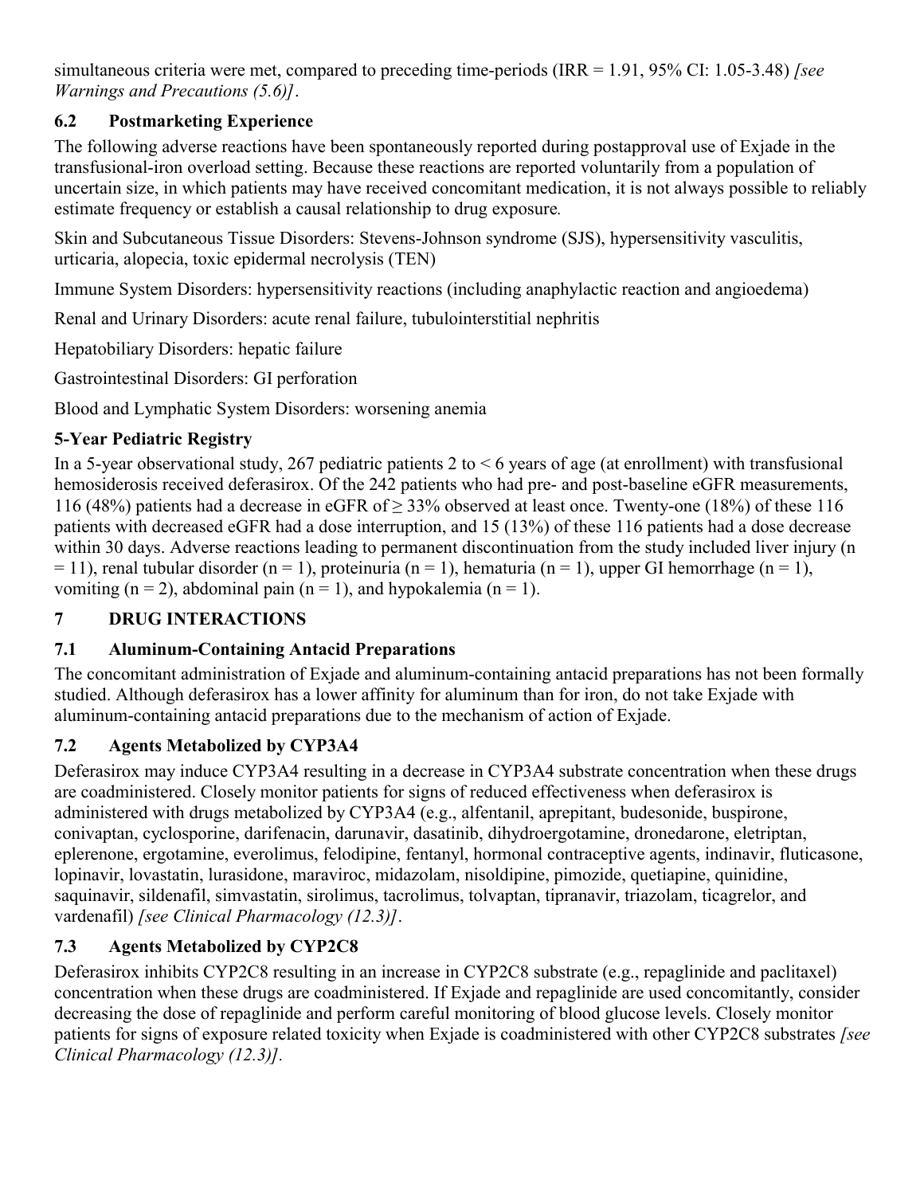<span id="page-14-0"></span>simultaneous criteria were met, compared to preceding time-periods (IRR = 1.91, 95% CI: 1.05-3.48) *[see Warnings and Precautions (5.6)]*.

## **6.2 Postmarketing Experience**

The following adverse reactions have been spontaneously reported during postapproval use of Exjade in the transfusional-iron overload setting. Because these reactions are reported voluntarily from a population of uncertain size, in which patients may have received concomitant medication, it is not always possible to reliably estimate frequency or establish a causal relationship to drug exposure*.*

Skin and Subcutaneous Tissue Disorders: Stevens-Johnson syndrome (SJS), hypersensitivity vasculitis, urticaria, alopecia, toxic epidermal necrolysis (TEN)

Immune System Disorders: hypersensitivity reactions (including anaphylactic reaction and angioedema)

Renal and Urinary Disorders: acute renal failure, tubulointerstitial nephritis

Hepatobiliary Disorders: hepatic failure

Gastrointestinal Disorders: GI perforation

Blood and Lymphatic System Disorders: worsening anemia

## **5-Year Pediatric Registry**

In a 5-year observational study, 267 pediatric patients 2 to  $\leq 6$  years of age (at enrollment) with transfusional hemosiderosis received deferasirox. Of the 242 patients who had pre- and post-baseline eGFR measurements, 116 (48%) patients had a decrease in eGFR of  $\geq$  33% observed at least once. Twenty-one (18%) of these 116 patients with decreased eGFR had a dose interruption, and 15 (13%) of these 116 patients had a dose decrease within 30 days. Adverse reactions leading to permanent discontinuation from the study included liver injury (n  $= 11$ ), renal tubular disorder (n = 1), proteinuria (n = 1), hematuria (n = 1), upper GI hemorrhage (n = 1), vomiting  $(n = 2)$ , abdominal pain  $(n = 1)$ , and hypokalemia  $(n = 1)$ .

## **7 DRUG INTERACTIONS**

## **7.1 Aluminum-Containing Antacid Preparations**

The concomitant administration of Exjade and aluminum-containing antacid preparations has not been formally studied. Although deferasirox has a lower affinity for aluminum than for iron, do not take Exjade with aluminum-containing antacid preparations due to the mechanism of action of Exjade.

## **7.2 Agents Metabolized by CYP3A4**

Deferasirox may induce CYP3A4 resulting in a decrease in CYP3A4 substrate concentration when these drugs are coadministered. Closely monitor patients for signs of reduced effectiveness when deferasirox is administered with drugs metabolized by CYP3A4 (e.g., alfentanil, aprepitant, budesonide, buspirone, conivaptan, cyclosporine, darifenacin, darunavir, dasatinib, dihydroergotamine, dronedarone, eletriptan, eplerenone, ergotamine, everolimus, felodipine, fentanyl, hormonal contraceptive agents, indinavir, fluticasone, lopinavir, lovastatin, lurasidone, maraviroc, midazolam, nisoldipine, pimozide, quetiapine, quinidine, saquinavir, sildenafil, simvastatin, sirolimus, tacrolimus, tolvaptan, tipranavir, triazolam, ticagrelor, and vardenafil) *[see Clinical Pharmacology (12.3)]*.

# **7.3 Agents Metabolized by CYP2C8**

Deferasirox inhibits CYP2C8 resulting in an increase in CYP2C8 substrate (e.g., repaglinide and paclitaxel) concentration when these drugs are coadministered. If Exjade and repaglinide are used concomitantly, consider decreasing the dose of repaglinide and perform careful monitoring of blood glucose levels. Closely monitor patients for signs of exposure related toxicity when Exjade is coadministered with other CYP2C8 substrates *[see Clinical Pharmacology (12.3)].*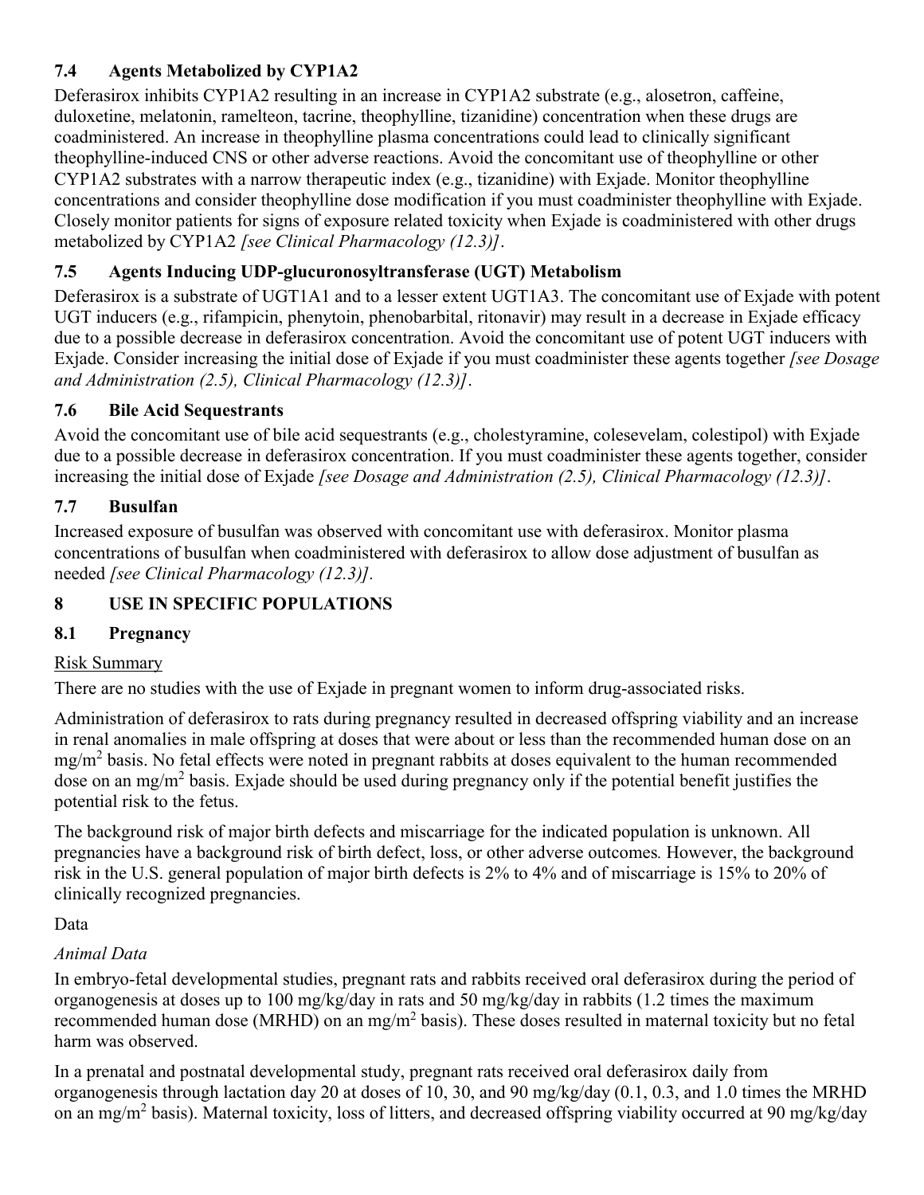# <span id="page-15-0"></span>**7.4 Agents Metabolized by CYP1A2**

Deferasirox inhibits CYP1A2 resulting in an increase in CYP1A2 substrate (e.g., alosetron, caffeine, duloxetine, melatonin, ramelteon, tacrine, theophylline, tizanidine) concentration when these drugs are coadministered. An increase in theophylline plasma concentrations could lead to clinically significant theophylline-induced CNS or other adverse reactions. Avoid the concomitant use of theophylline or other CYP1A2 substrates with a narrow therapeutic index (e.g., tizanidine) with Exjade. Monitor theophylline concentrations and consider theophylline dose modification if you must coadminister theophylline with Exjade. Closely monitor patients for signs of exposure related toxicity when Exjade is coadministered with other drugs metabolized by CYP1A2 *[see Clinical Pharmacology (12.3)]*.

## **7.5 Agents Inducing UDP-glucuronosyltransferase (UGT) Metabolism**

Deferasirox is a substrate of UGT1A1 and to a lesser extent UGT1A3. The concomitant use of Exjade with potent UGT inducers (e.g., rifampicin, phenytoin, phenobarbital, ritonavir) may result in a decrease in Exjade efficacy due to a possible decrease in deferasirox concentration. Avoid the concomitant use of potent UGT inducers with Exjade. Consider increasing the initial dose of Exjade if you must coadminister these agents together *[see Dosage and Administration (2.5), Clinical Pharmacology (12.3)]*.

## **7.6 Bile Acid Sequestrants**

Avoid the concomitant use of bile acid sequestrants (e.g., cholestyramine, colesevelam, colestipol) with Exjade due to a possible decrease in deferasirox concentration. If you must coadminister these agents together, consider increasing the initial dose of Exjade *[see Dosage and Administration (2.5), Clinical Pharmacology (12.3)]*.

## **7.7 Busulfan**

Increased exposure of busulfan was observed with concomitant use with deferasirox. Monitor plasma concentrations of busulfan when coadministered with deferasirox to allow dose adjustment of busulfan as needed *[see Clinical Pharmacology (12.3)].*

## **8 USE IN SPECIFIC POPULATIONS**

## **8.1 Pregnancy**

## Risk Summary

There are no studies with the use of Exjade in pregnant women to inform drug-associated risks.

Administration of deferasirox to rats during pregnancy resulted in decreased offspring viability and an increase in renal anomalies in male offspring at doses that were about or less than the recommended human dose on an  $mg/m<sup>2</sup>$  basis. No fetal effects were noted in pregnant rabbits at doses equivalent to the human recommended dose on an mg/m<sup>2</sup> basis. Exjade should be used during pregnancy only if the potential benefit justifies the potential risk to the fetus.

The background risk of major birth defects and miscarriage for the indicated population is unknown. All pregnancies have a background risk of birth defect, loss, or other adverse outcomes*.* However, the background risk in the U.S. general population of major birth defects is 2% to 4% and of miscarriage is 15% to 20% of clinically recognized pregnancies.

## Data

## *Animal Data*

In embryo-fetal developmental studies, pregnant rats and rabbits received oral deferasirox during the period of organogenesis at doses up to 100 mg/kg/day in rats and 50 mg/kg/day in rabbits (1.2 times the maximum recommended human dose (MRHD) on an mg/m<sup>2</sup> basis). These doses resulted in maternal toxicity but no fetal harm was observed.

In a prenatal and postnatal developmental study, pregnant rats received oral deferasirox daily from organogenesis through lactation day 20 at doses of 10, 30, and 90 mg/kg/day (0.1, 0.3, and 1.0 times the MRHD on an mg/m<sup>2</sup> basis). Maternal toxicity, loss of litters, and decreased offspring viability occurred at 90 mg/kg/day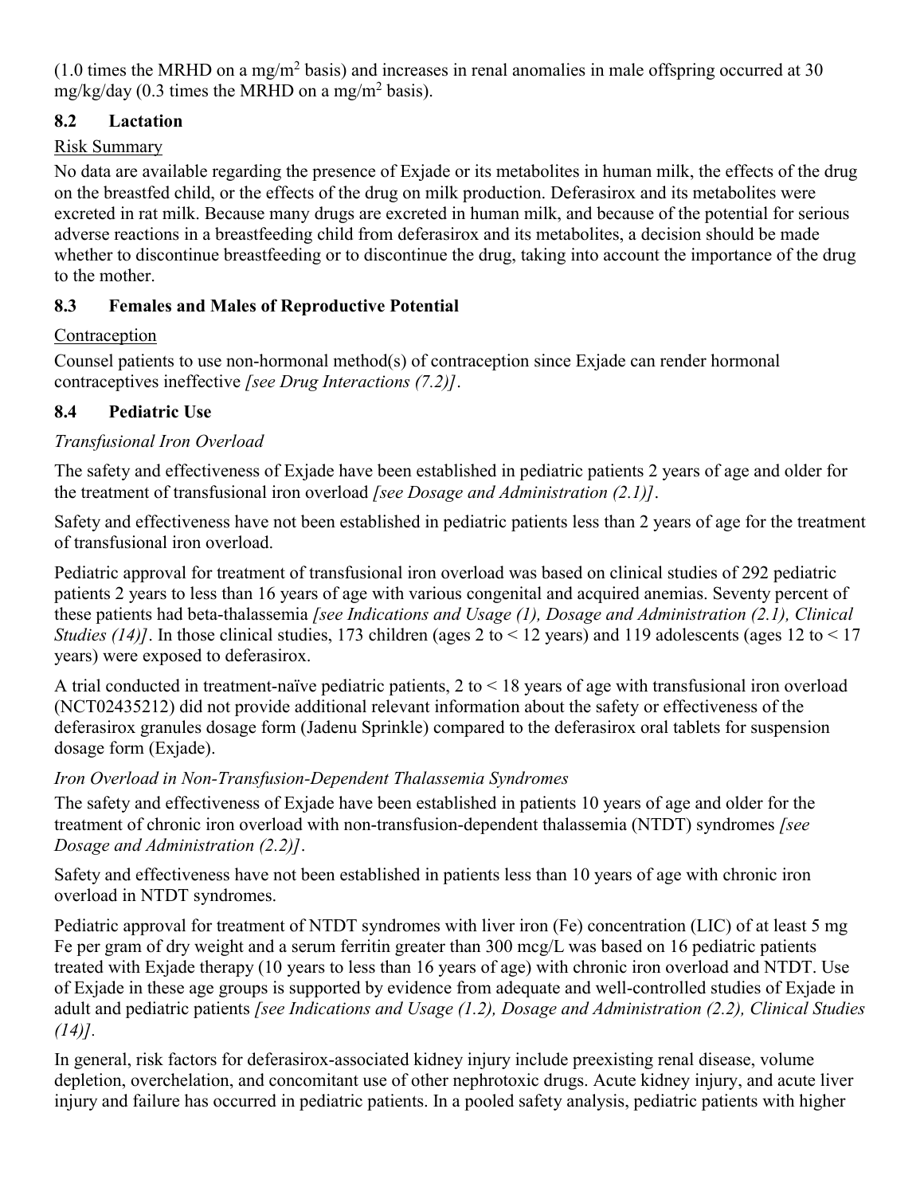<span id="page-16-0"></span> $(1.0 \text{ times the MRHD on a mg/m}^2 \text{ basis})$  and increases in renal anomalies in male offspring occurred at 30 mg/kg/day (0.3 times the MRHD on a mg/m<sup>2</sup> basis).

## **8.2 Lactation**

## Risk Summary

No data are available regarding the presence of Exjade or its metabolites in human milk, the effects of the drug on the breastfed child, or the effects of the drug on milk production. Deferasirox and its metabolites were excreted in rat milk. Because many drugs are excreted in human milk, and because of the potential for serious adverse reactions in a breastfeeding child from deferasirox and its metabolites, a decision should be made whether to discontinue breastfeeding or to discontinue the drug, taking into account the importance of the drug to the mother.

## **8.3 Females and Males of Reproductive Potential**

## Contraception

Counsel patients to use non-hormonal method(s) of contraception since Exjade can render hormonal contraceptives ineffective *[see Drug Interactions (7.2)]*.

## **8.4 Pediatric Use**

## *Transfusional Iron Overload*

The safety and effectiveness of Exjade have been established in pediatric patients 2 years of age and older for the treatment of transfusional iron overload *[see Dosage and Administration (2.1)]*.

Safety and effectiveness have not been established in pediatric patients less than 2 years of age for the treatment of transfusional iron overload.

Pediatric approval for treatment of transfusional iron overload was based on clinical studies of 292 pediatric patients 2 years to less than 16 years of age with various congenital and acquired anemias. Seventy percent of these patients had beta-thalassemia *[see Indications and Usage (1), Dosage and Administration (2.1), Clinical Studies* (14)]. In those clinical studies, 173 children (ages 2 to < 12 years) and 119 adolescents (ages 12 to < 17 years) were exposed to deferasirox.

A trial conducted in treatment-naïve pediatric patients, 2 to < 18 years of age with transfusional iron overload (NCT02435212) did not provide additional relevant information about the safety or effectiveness of the deferasirox granules dosage form (Jadenu Sprinkle) compared to the deferasirox oral tablets for suspension dosage form (Exjade).

## *Iron Overload in Non-Transfusion-Dependent Thalassemia Syndromes*

The safety and effectiveness of Exjade have been established in patients 10 years of age and older for the treatment of chronic iron overload with non-transfusion-dependent thalassemia (NTDT) syndromes *[see Dosage and Administration (2.2)]*.

Safety and effectiveness have not been established in patients less than 10 years of age with chronic iron overload in NTDT syndromes.

Pediatric approval for treatment of NTDT syndromes with liver iron (Fe) concentration (LIC) of at least 5 mg Fe per gram of dry weight and a serum ferritin greater than 300 mcg/L was based on 16 pediatric patients treated with Exjade therapy (10 years to less than 16 years of age) with chronic iron overload and NTDT. Use of Exjade in these age groups is supported by evidence from adequate and well-controlled studies of Exjade in adult and pediatric patients *[see Indications and Usage (1.2), Dosage and Administration (2.2), Clinical Studies (14)].*

In general, risk factors for deferasirox-associated kidney injury include preexisting renal disease, volume depletion, overchelation, and concomitant use of other nephrotoxic drugs. Acute kidney injury, and acute liver injury and failure has occurred in pediatric patients. In a pooled safety analysis, pediatric patients with higher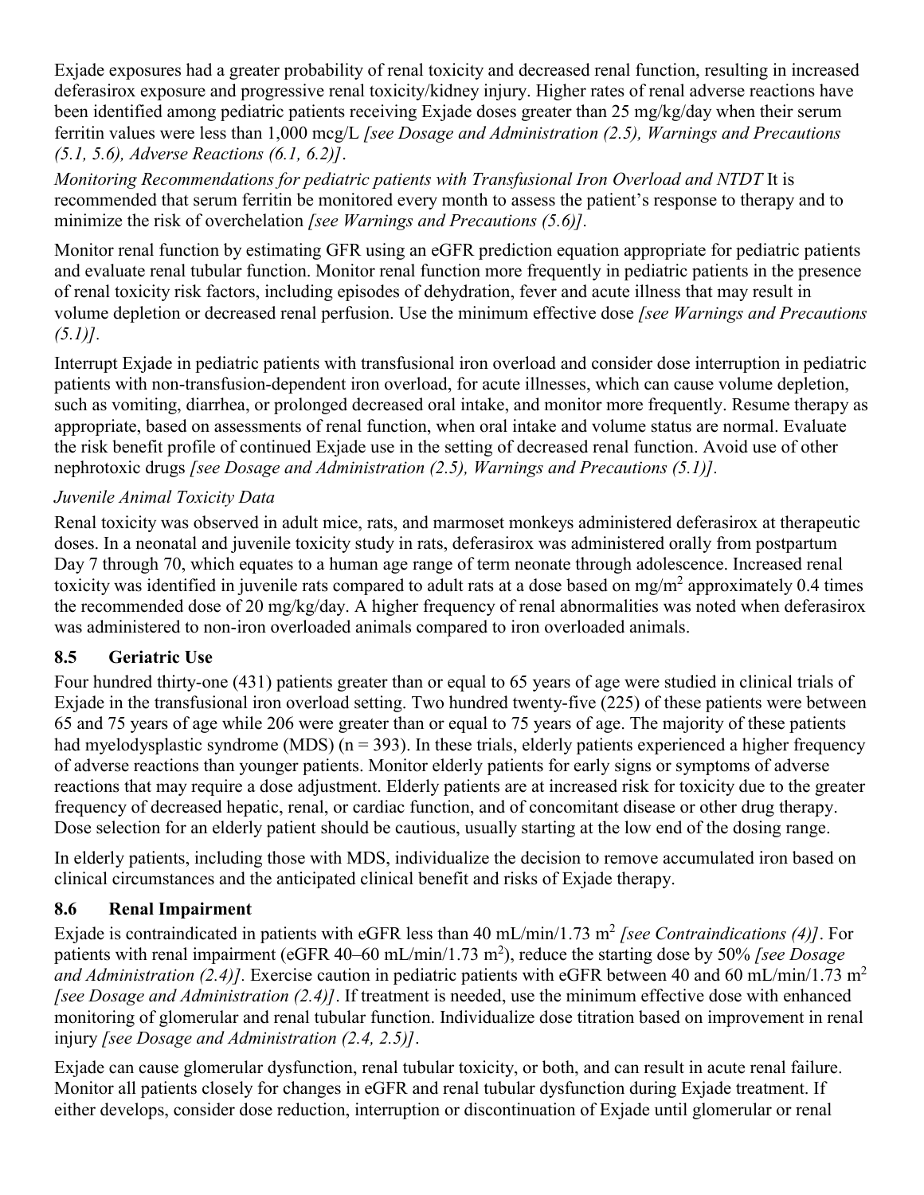<span id="page-17-0"></span>Exjade exposures had a greater probability of renal toxicity and decreased renal function, resulting in increased deferasirox exposure and progressive renal toxicity/kidney injury. Higher rates of renal adverse reactions have been identified among pediatric patients receiving Exjade doses greater than 25 mg/kg/day when their serum ferritin values were less than 1,000 mcg/L *[see Dosage and Administration (2.5), Warnings and Precautions (5.1, 5.6), Adverse Reactions (6.1, 6.2)]*.

*Monitoring Recommendations for pediatric patients with Transfusional Iron Overload and NTDT* It is recommended that serum ferritin be monitored every month to assess the patient's response to therapy and to minimize the risk of overchelation *[see Warnings and Precautions (5.6)].*

Monitor renal function by estimating GFR using an eGFR prediction equation appropriate for pediatric patients and evaluate renal tubular function. Monitor renal function more frequently in pediatric patients in the presence of renal toxicity risk factors, including episodes of dehydration, fever and acute illness that may result in volume depletion or decreased renal perfusion. Use the minimum effective dose *[see Warnings and Precautions (5.1)].*

Interrupt Exjade in pediatric patients with transfusional iron overload and consider dose interruption in pediatric patients with non-transfusion-dependent iron overload, for acute illnesses, which can cause volume depletion, such as vomiting, diarrhea, or prolonged decreased oral intake, and monitor more frequently. Resume therapy as appropriate, based on assessments of renal function, when oral intake and volume status are normal. Evaluate the risk benefit profile of continued Exjade use in the setting of decreased renal function. Avoid use of other nephrotoxic drugs *[see Dosage and Administration (2.5), Warnings and Precautions (5.1)].*

## *Juvenile Animal Toxicity Data*

Renal toxicity was observed in adult mice, rats, and marmoset monkeys administered deferasirox at therapeutic doses. In a neonatal and juvenile toxicity study in rats, deferasirox was administered orally from postpartum Day 7 through 70, which equates to a human age range of term neonate through adolescence. Increased renal toxicity was identified in juvenile rats compared to adult rats at a dose based on mg/m<sup>2</sup> approximately 0.4 times the recommended dose of 20 mg/kg/day. A higher frequency of renal abnormalities was noted when deferasirox was administered to non-iron overloaded animals compared to iron overloaded animals.

## **8.5 Geriatric Use**

Four hundred thirty-one (431) patients greater than or equal to 65 years of age were studied in clinical trials of Exjade in the transfusional iron overload setting. Two hundred twenty-five (225) of these patients were between 65 and 75 years of age while 206 were greater than or equal to 75 years of age. The majority of these patients had myelodysplastic syndrome (MDS)  $(n = 393)$ . In these trials, elderly patients experienced a higher frequency of adverse reactions than younger patients. Monitor elderly patients for early signs or symptoms of adverse reactions that may require a dose adjustment. Elderly patients are at increased risk for toxicity due to the greater frequency of decreased hepatic, renal, or cardiac function, and of concomitant disease or other drug therapy. Dose selection for an elderly patient should be cautious, usually starting at the low end of the dosing range.

In elderly patients, including those with MDS, individualize the decision to remove accumulated iron based on clinical circumstances and the anticipated clinical benefit and risks of Exjade therapy.

## **8.6 Renal Impairment**

Exjade is contraindicated in patients with eGFR less than 40 mL/min/1.73 m<sup>2</sup> [see Contraindications (4)]. For patients with renal impairment (eGFR 40–60 mL/min/1.73 m<sup>2</sup>), reduce the starting dose by 50% *[see Dosage and Administration (2.4)].* Exercise caution in pediatric patients with eGFR between 40 and 60 mL/min/1.73 m<sup>2</sup> *[see Dosage and Administration (2.4)]*. If treatment is needed, use the minimum effective dose with enhanced monitoring of glomerular and renal tubular function. Individualize dose titration based on improvement in renal injury *[see Dosage and Administration (2.4, 2.5)]*.

Exjade can cause glomerular dysfunction, renal tubular toxicity, or both, and can result in acute renal failure. Monitor all patients closely for changes in eGFR and renal tubular dysfunction during Exjade treatment. If either develops, consider dose reduction, interruption or discontinuation of Exjade until glomerular or renal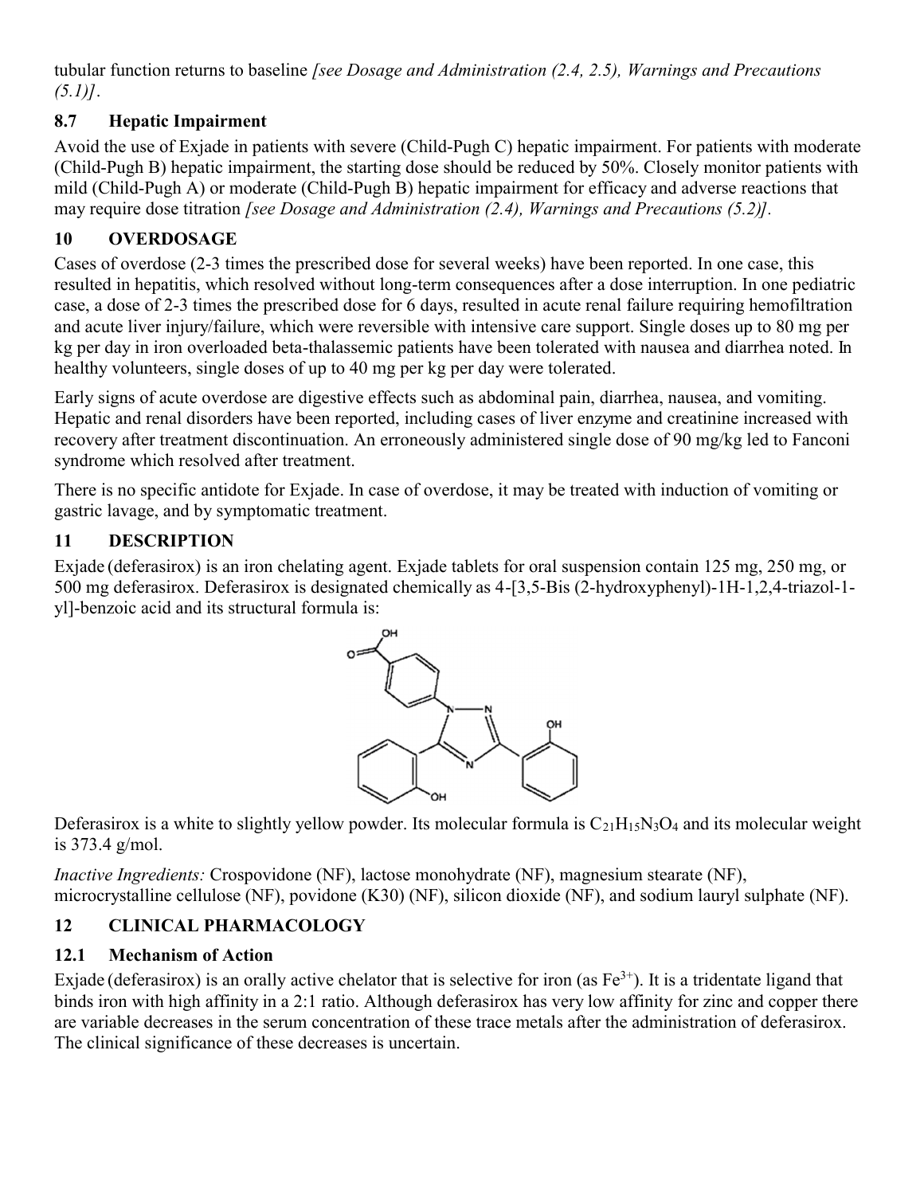<span id="page-18-0"></span>tubular function returns to baseline *[see Dosage and Administration (2.4, 2.5), Warnings and Precautions (5.1)]*.

## **8.7 Hepatic Impairment**

Avoid the use of Exjade in patients with severe (Child-Pugh C) hepatic impairment. For patients with moderate (Child-Pugh B) hepatic impairment, the starting dose should be reduced by 50%. Closely monitor patients with mild (Child-Pugh A) or moderate (Child-Pugh B) hepatic impairment for efficacy and adverse reactions that may require dose titration *[see Dosage and Administration (2.4), Warnings and Precautions (5.2)].*

# **10 OVERDOSAGE**

Cases of overdose (2-3 times the prescribed dose for several weeks) have been reported. In one case, this resulted in hepatitis, which resolved without long-term consequences after a dose interruption. In one pediatric case, a dose of 2-3 times the prescribed dose for 6 days, resulted in acute renal failure requiring hemofiltration and acute liver injury/failure, which were reversible with intensive care support. Single doses up to 80 mg per kg per day in iron overloaded beta-thalassemic patients have been tolerated with nausea and diarrhea noted. In healthy volunteers, single doses of up to 40 mg per kg per day were tolerated.

Early signs of acute overdose are digestive effects such as abdominal pain, diarrhea, nausea, and vomiting. Hepatic and renal disorders have been reported, including cases of liver enzyme and creatinine increased with recovery after treatment discontinuation. An erroneously administered single dose of 90 mg/kg led to Fanconi syndrome which resolved after treatment.

There is no specific antidote for Exjade. In case of overdose, it may be treated with induction of vomiting or gastric lavage, and by symptomatic treatment.

## **11 DESCRIPTION**

Exjade (deferasirox) is an iron chelating agent. Exjade tablets for oral suspension contain 125 mg, 250 mg, or 500 mg deferasirox. Deferasirox is designated chemically as 4-[3,5-Bis (2-hydroxyphenyl)-1H-1,2,4-triazol-1 yl]-benzoic acid and its structural formula is:



Deferasirox is a white to slightly yellow powder. Its molecular formula is  $C_{21}H_{15}N_3O_4$  and its molecular weight is 373.4 g/mol.

*Inactive Ingredients:* Crospovidone (NF), lactose monohydrate (NF), magnesium stearate (NF), microcrystalline cellulose (NF), povidone (K30) (NF), silicon dioxide (NF), and sodium lauryl sulphate (NF).

# **12 CLINICAL PHARMACOLOGY**

## **12.1 Mechanism of Action**

Exjade (deferasirox) is an orally active chelator that is selective for iron (as  $Fe^{3+}$ ). It is a tridentate ligand that binds iron with high affinity in a 2:1 ratio. Although deferasirox has very low affinity for zinc and copper there are variable decreases in the serum concentration of these trace metals after the administration of deferasirox. The clinical significance of these decreases is uncertain.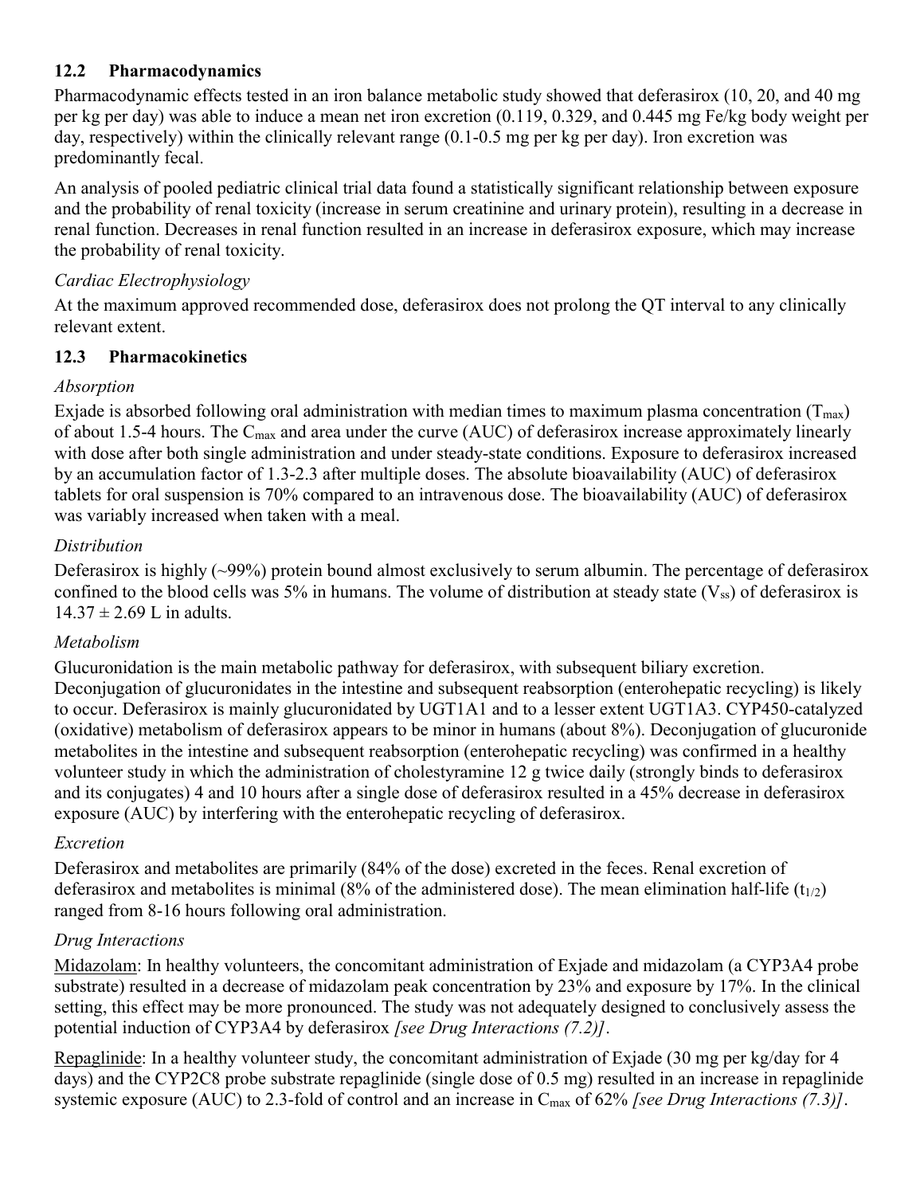## <span id="page-19-0"></span>**12.2 Pharmacodynamics**

Pharmacodynamic effects tested in an iron balance metabolic study showed that deferasirox (10, 20, and 40 mg per kg per day) was able to induce a mean net iron excretion (0.119, 0.329, and 0.445 mg Fe/kg body weight per day, respectively) within the clinically relevant range (0.1-0.5 mg per kg per day). Iron excretion was predominantly fecal.

An analysis of pooled pediatric clinical trial data found a statistically significant relationship between exposure and the probability of renal toxicity (increase in serum creatinine and urinary protein), resulting in a decrease in renal function. Decreases in renal function resulted in an increase in deferasirox exposure, which may increase the probability of renal toxicity.

## *Cardiac Electrophysiology*

At the maximum approved recommended dose, deferasirox does not prolong the QT interval to any clinically relevant extent.

## **12.3 Pharmacokinetics**

## *Absorption*

Exjade is absorbed following oral administration with median times to maximum plasma concentration ( $T_{\text{max}}$ ) of about 1.5-4 hours. The Cmax and area under the curve (AUC) of deferasirox increase approximately linearly with dose after both single administration and under steady-state conditions. Exposure to deferasirox increased by an accumulation factor of 1.3-2.3 after multiple doses. The absolute bioavailability (AUC) of deferasirox tablets for oral suspension is 70% compared to an intravenous dose. The bioavailability (AUC) of deferasirox was variably increased when taken with a meal.

## *Distribution*

Deferasirox is highly (~99%) protein bound almost exclusively to serum albumin. The percentage of deferasirox confined to the blood cells was 5% in humans. The volume of distribution at steady state  $(V_{ss})$  of deferasirox is  $14.37 \pm 2.69$  L in adults.

## *Metabolism*

Glucuronidation is the main metabolic pathway for deferasirox, with subsequent biliary excretion. Deconjugation of glucuronidates in the intestine and subsequent reabsorption (enterohepatic recycling) is likely to occur. Deferasirox is mainly glucuronidated by UGT1A1 and to a lesser extent UGT1A3. CYP450-catalyzed (oxidative) metabolism of deferasirox appears to be minor in humans (about 8%). Deconjugation of glucuronide metabolites in the intestine and subsequent reabsorption (enterohepatic recycling) was confirmed in a healthy volunteer study in which the administration of cholestyramine 12 g twice daily (strongly binds to deferasirox and its conjugates) 4 and 10 hours after a single dose of deferasirox resulted in a 45% decrease in deferasirox exposure (AUC) by interfering with the enterohepatic recycling of deferasirox.

## *Excretion*

Deferasirox and metabolites are primarily (84% of the dose) excreted in the feces. Renal excretion of deferasirox and metabolites is minimal (8% of the administered dose). The mean elimination half-life (t<sub>1/2</sub>) ranged from 8-16 hours following oral administration.

## *Drug Interactions*

Midazolam: In healthy volunteers, the concomitant administration of Exjade and midazolam (a CYP3A4 probe substrate) resulted in a decrease of midazolam peak concentration by 23% and exposure by 17%. In the clinical setting, this effect may be more pronounced. The study was not adequately designed to conclusively assess the potential induction of CYP3A4 by deferasirox *[see Drug Interactions (7.2)]*.

Repaglinide: In a healthy volunteer study, the concomitant administration of Exjade (30 mg per kg/day for 4 days) and the CYP2C8 probe substrate repaglinide (single dose of 0.5 mg) resulted in an increase in repaglinide systemic exposure (AUC) to 2.3-fold of control and an increase in C<sub>max</sub> of 62% *[see Drug Interactions (7.3)*].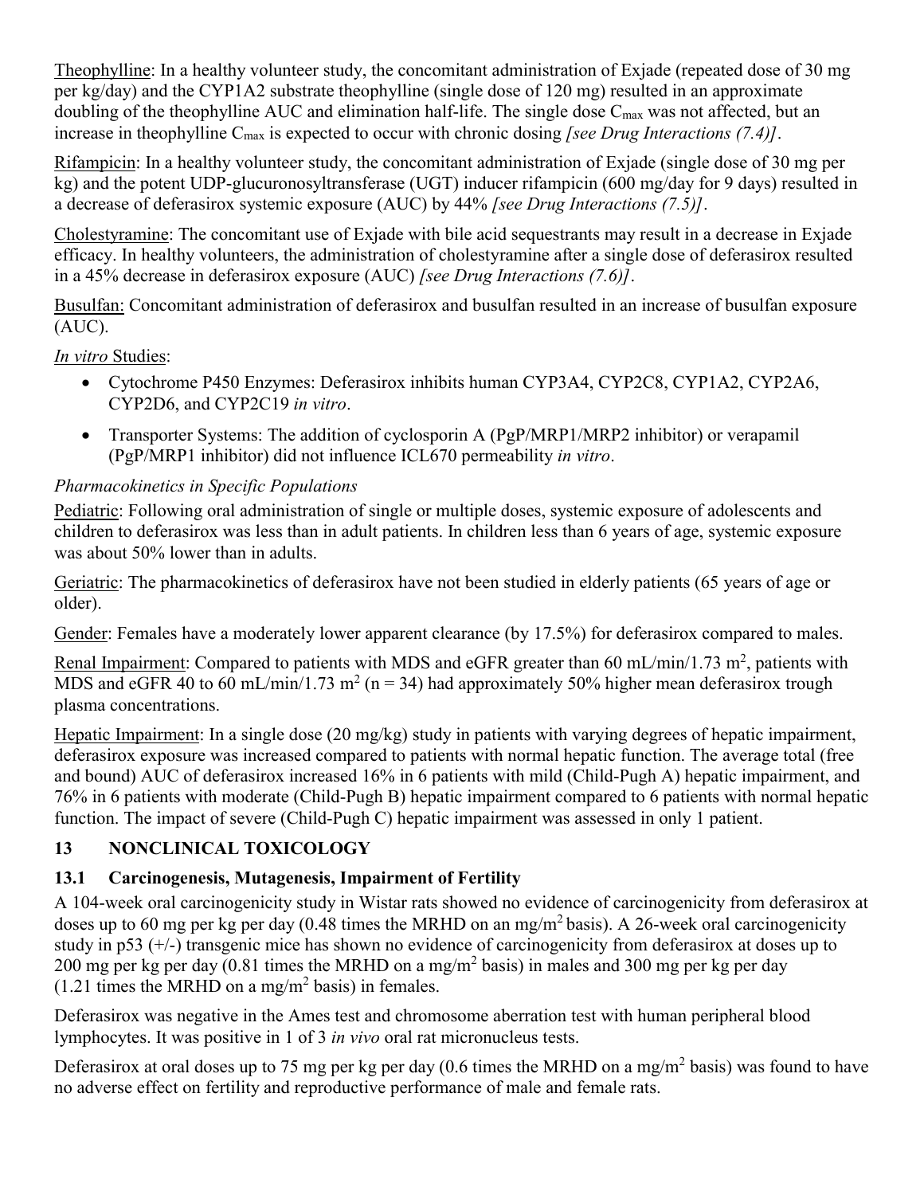<span id="page-20-0"></span>Theophylline: In a healthy volunteer study, the concomitant administration of Exjade (repeated dose of 30 mg per kg/day) and the CYP1A2 substrate theophylline (single dose of 120 mg) resulted in an approximate doubling of the theophylline AUC and elimination half-life. The single dose  $C_{\text{max}}$  was not affected, but an increase in theophylline Cmax is expected to occur with chronic dosing *[see Drug Interactions (7.4)]*.

Rifampicin: In a healthy volunteer study, the concomitant administration of Exjade (single dose of 30 mg per kg) and the potent UDP-glucuronosyltransferase (UGT) inducer rifampicin (600 mg/day for 9 days) resulted in a decrease of deferasirox systemic exposure (AUC) by 44% *[see Drug Interactions (7.5)]*.

Cholestyramine: The concomitant use of Exjade with bile acid sequestrants may result in a decrease in Exjade efficacy. In healthy volunteers, the administration of cholestyramine after a single dose of deferasirox resulted in a 45% decrease in deferasirox exposure (AUC) *[see Drug Interactions (7.6)]*.

Busulfan: Concomitant administration of deferasirox and busulfan resulted in an increase of busulfan exposure (AUC).

*In vitro* Studies:

- Cytochrome P450 Enzymes: Deferasirox inhibits human CYP3A4, CYP2C8, CYP1A2, CYP2A6, CYP2D6, and CYP2C19 *in vitro*.
- Transporter Systems: The addition of cyclosporin A (PgP/MRP1/MRP2 inhibitor) or verapamil (PgP/MRP1 inhibitor) did not influence ICL670 permeability *in vitro*.

# *Pharmacokinetics in Specific Populations*

Pediatric: Following oral administration of single or multiple doses, systemic exposure of adolescents and children to deferasirox was less than in adult patients. In children less than 6 years of age, systemic exposure was about 50% lower than in adults.

Geriatric: The pharmacokinetics of deferasirox have not been studied in elderly patients (65 years of age or older).

Gender: Females have a moderately lower apparent clearance (by 17.5%) for deferasirox compared to males.

Renal Impairment: Compared to patients with MDS and eGFR greater than 60 mL/min/1.73 m<sup>2</sup>, patients with MDS and eGFR 40 to 60 mL/min/1.73 m<sup>2</sup> ( $n = 34$ ) had approximately 50% higher mean deferasirox trough plasma concentrations.

Hepatic Impairment: In a single dose (20 mg/kg) study in patients with varying degrees of hepatic impairment, deferasirox exposure was increased compared to patients with normal hepatic function. The average total (free and bound) AUC of deferasirox increased 16% in 6 patients with mild (Child-Pugh A) hepatic impairment, and 76% in 6 patients with moderate (Child-Pugh B) hepatic impairment compared to 6 patients with normal hepatic function. The impact of severe (Child-Pugh C) hepatic impairment was assessed in only 1 patient.

## **13 NONCLINICAL TOXICOLOGY**

# **13.1 Carcinogenesis, Mutagenesis, Impairment of Fertility**

A 104-week oral carcinogenicity study in Wistar rats showed no evidence of carcinogenicity from deferasirox at doses up to 60 mg per kg per day (0.48 times the MRHD on an mg/m<sup>2</sup> basis). A 26-week oral carcinogenicity study in p53 (+/-) transgenic mice has shown no evidence of carcinogenicity from deferasirox at doses up to 200 mg per kg per day (0.81 times the MRHD on a mg/m<sup>2</sup> basis) in males and 300 mg per kg per day  $(1.21)$  times the MRHD on a mg/m<sup>2</sup> basis) in females.

Deferasirox was negative in the Ames test and chromosome aberration test with human peripheral blood lymphocytes. It was positive in 1 of 3 *in vivo* oral rat micronucleus tests.

Deferasirox at oral doses up to 75 mg per kg per day (0.6 times the MRHD on a mg/m<sup>2</sup> basis) was found to have no adverse effect on fertility and reproductive performance of male and female rats.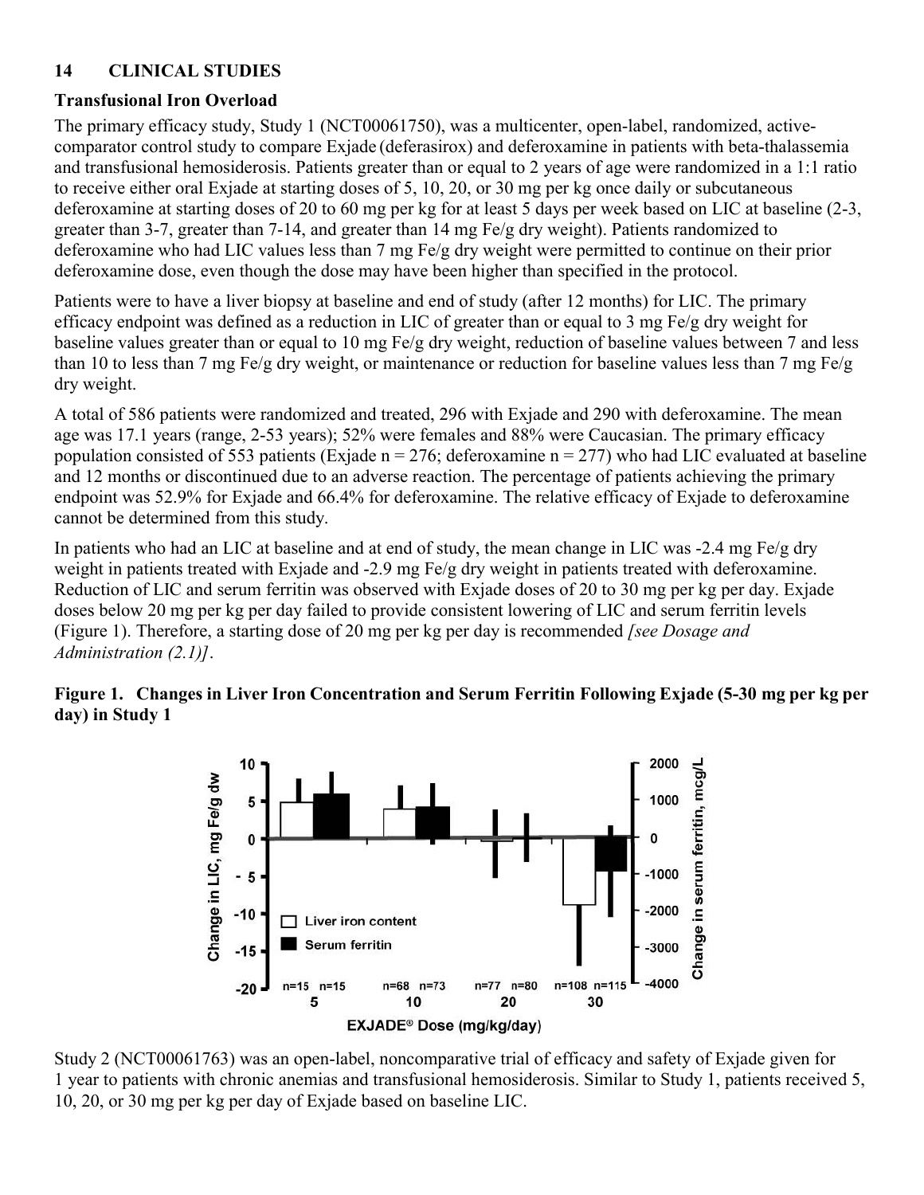## <span id="page-21-0"></span>**14 CLINICAL STUDIES**

## **Transfusional Iron Overload**

The primary efficacy study, Study 1 (NCT00061750), was a multicenter, open-label, randomized, activecomparator control study to compare Exjade (deferasirox) and deferoxamine in patients with beta-thalassemia and transfusional hemosiderosis. Patients greater than or equal to 2 years of age were randomized in a 1:1 ratio to receive either oral Exjade at starting doses of 5, 10, 20, or 30 mg per kg once daily or subcutaneous deferoxamine at starting doses of 20 to 60 mg per kg for at least 5 days per week based on LIC at baseline (2-3, greater than 3-7, greater than 7-14, and greater than 14 mg Fe/g dry weight). Patients randomized to deferoxamine who had LIC values less than 7 mg Fe/g dry weight were permitted to continue on their prior deferoxamine dose, even though the dose may have been higher than specified in the protocol.

Patients were to have a liver biopsy at baseline and end of study (after 12 months) for LIC. The primary efficacy endpoint was defined as a reduction in LIC of greater than or equal to 3 mg Fe/g dry weight for baseline values greater than or equal to 10 mg Fe/g dry weight, reduction of baseline values between 7 and less than 10 to less than 7 mg Fe/g dry weight, or maintenance or reduction for baseline values less than 7 mg Fe/g dry weight.

A total of 586 patients were randomized and treated, 296 with Exjade and 290 with deferoxamine. The mean age was 17.1 years (range, 2-53 years); 52% were females and 88% were Caucasian. The primary efficacy population consisted of 553 patients (Exjade n = 276; deferoxamine n = 277) who had LIC evaluated at baseline and 12 months or discontinued due to an adverse reaction. The percentage of patients achieving the primary endpoint was 52.9% for Exjade and 66.4% for deferoxamine. The relative efficacy of Exjade to deferoxamine cannot be determined from this study.

In patients who had an LIC at baseline and at end of study, the mean change in LIC was -2.4 mg Fe/g dry weight in patients treated with Exjade and -2.9 mg Fe/g dry weight in patients treated with deferoxamine. Reduction of LIC and serum ferritin was observed with Exjade doses of 20 to 30 mg per kg per day. Exjade doses below 20 mg per kg per day failed to provide consistent lowering of LIC and serum ferritin levels (Figure 1). Therefore, a starting dose of 20 mg per kg per day is recommended *[see Dosage and Administration (2.1)]*.

#### **Figure 1. Changes in Liver Iron Concentration and Serum Ferritin Following Exjade (5-30 mg per kg per day) in Study 1**



Study 2 (NCT00061763) was an open-label, noncomparative trial of efficacy and safety of Exjade given for 1 year to patients with chronic anemias and transfusional hemosiderosis. Similar to Study 1, patients received 5, 10, 20, or 30 mg per kg per day of Exjade based on baseline LIC.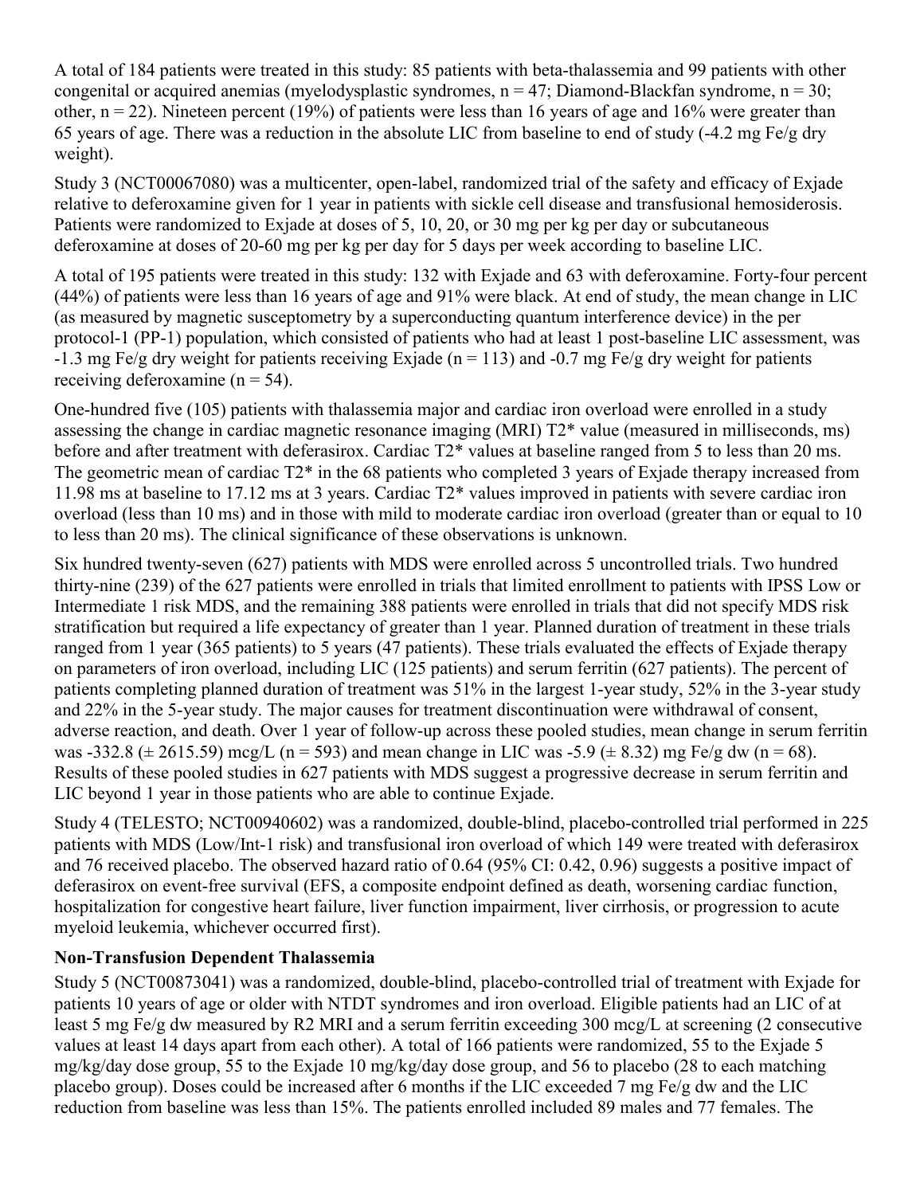A total of 184 patients were treated in this study: 85 patients with beta-thalassemia and 99 patients with other congenital or acquired anemias (myelodysplastic syndromes,  $n = 47$ ; Diamond-Blackfan syndrome,  $n = 30$ ; other,  $n = 22$ ). Nineteen percent (19%) of patients were less than 16 years of age and 16% were greater than 65 years of age. There was a reduction in the absolute LIC from baseline to end of study (-4.2 mg Fe/g dry weight).

Study 3 (NCT00067080) was a multicenter, open-label, randomized trial of the safety and efficacy of Exjade relative to deferoxamine given for 1 year in patients with sickle cell disease and transfusional hemosiderosis. Patients were randomized to Exjade at doses of 5, 10, 20, or 30 mg per kg per day or subcutaneous deferoxamine at doses of 20-60 mg per kg per day for 5 days per week according to baseline LIC.

A total of 195 patients were treated in this study: 132 with Exjade and 63 with deferoxamine. Forty-four percent (44%) of patients were less than 16 years of age and 91% were black. At end of study, the mean change in LIC (as measured by magnetic susceptometry by a superconducting quantum interference device) in the per protocol-1 (PP-1) population, which consisted of patients who had at least 1 post-baseline LIC assessment, was  $-1.3$  mg Fe/g dry weight for patients receiving Exjade (n = 113) and  $-0.7$  mg Fe/g dry weight for patients receiving deferoxamine ( $n = 54$ ).

One-hundred five (105) patients with thalassemia major and cardiac iron overload were enrolled in a study assessing the change in cardiac magnetic resonance imaging (MRI) T2\* value (measured in milliseconds, ms) before and after treatment with deferasirox. Cardiac T2\* values at baseline ranged from 5 to less than 20 ms. The geometric mean of cardiac T2\* in the 68 patients who completed 3 years of Exjade therapy increased from 11.98 ms at baseline to 17.12 ms at 3 years. Cardiac T2\* values improved in patients with severe cardiac iron overload (less than 10 ms) and in those with mild to moderate cardiac iron overload (greater than or equal to 10 to less than 20 ms). The clinical significance of these observations is unknown.

Six hundred twenty-seven (627) patients with MDS were enrolled across 5 uncontrolled trials. Two hundred thirty-nine (239) of the 627 patients were enrolled in trials that limited enrollment to patients with IPSS Low or Intermediate 1 risk MDS, and the remaining 388 patients were enrolled in trials that did not specify MDS risk stratification but required a life expectancy of greater than 1 year. Planned duration of treatment in these trials ranged from 1 year (365 patients) to 5 years (47 patients). These trials evaluated the effects of Exjade therapy on parameters of iron overload, including LIC (125 patients) and serum ferritin (627 patients). The percent of patients completing planned duration of treatment was 51% in the largest 1-year study, 52% in the 3-year study and 22% in the 5-year study. The major causes for treatment discontinuation were withdrawal of consent, adverse reaction, and death. Over 1 year of follow-up across these pooled studies, mean change in serum ferritin was -332.8 ( $\pm$  2615.59) mcg/L (n = 593) and mean change in LIC was -5.9 ( $\pm$  8.32) mg Fe/g dw (n = 68). Results of these pooled studies in 627 patients with MDS suggest a progressive decrease in serum ferritin and LIC beyond 1 year in those patients who are able to continue Exjade.

Study 4 (TELESTO; NCT00940602) was a randomized, double-blind, placebo-controlled trial performed in 225 patients with MDS (Low/Int-1 risk) and transfusional iron overload of which 149 were treated with deferasirox and 76 received placebo. The observed hazard ratio of 0.64 (95% CI: 0.42, 0.96) suggests a positive impact of deferasirox on event-free survival (EFS, a composite endpoint defined as death, worsening cardiac function, hospitalization for congestive heart failure, liver function impairment, liver cirrhosis, or progression to acute myeloid leukemia, whichever occurred first).

## **Non-Transfusion Dependent Thalassemia**

Study 5 (NCT00873041) was a randomized, double-blind, placebo-controlled trial of treatment with Exjade for patients 10 years of age or older with NTDT syndromes and iron overload. Eligible patients had an LIC of at least 5 mg Fe/g dw measured by R2 MRI and a serum ferritin exceeding 300 mcg/L at screening (2 consecutive values at least 14 days apart from each other). A total of 166 patients were randomized, 55 to the Exjade 5 mg/kg/day dose group, 55 to the Exjade 10 mg/kg/day dose group, and 56 to placebo (28 to each matching placebo group). Doses could be increased after 6 months if the LIC exceeded 7 mg Fe/g dw and the LIC reduction from baseline was less than 15%. The patients enrolled included 89 males and 77 females. The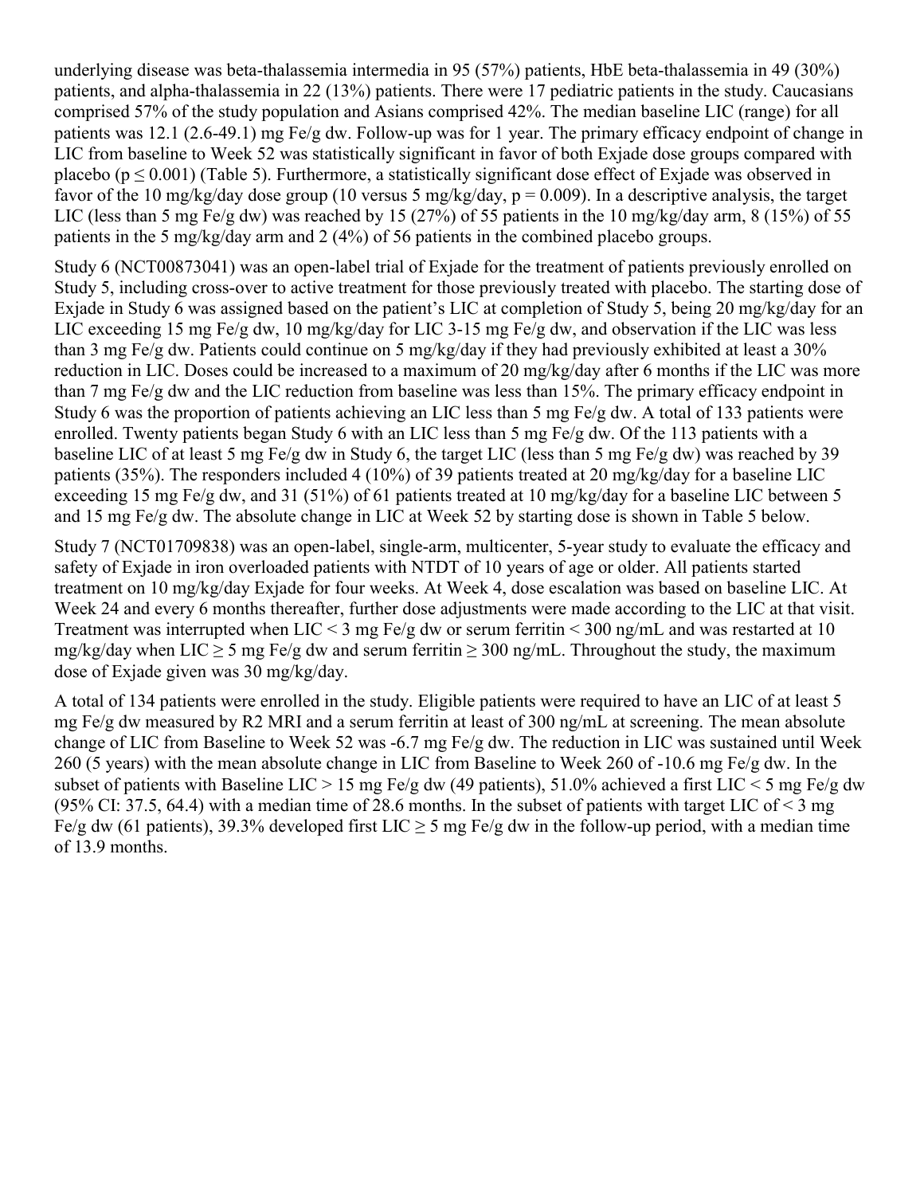underlying disease was beta-thalassemia intermedia in 95 (57%) patients, HbE beta-thalassemia in 49 (30%) patients, and alpha-thalassemia in 22 (13%) patients. There were 17 pediatric patients in the study. Caucasians comprised 57% of the study population and Asians comprised 42%. The median baseline LIC (range) for all patients was 12.1 (2.6-49.1) mg Fe/g dw. Follow-up was for 1 year. The primary efficacy endpoint of change in LIC from baseline to Week 52 was statistically significant in favor of both Exjade dose groups compared with placebo ( $p \le 0.001$ ) (Table 5). Furthermore, a statistically significant dose effect of Exjade was observed in favor of the 10 mg/kg/day dose group (10 versus 5 mg/kg/day,  $p = 0.009$ ). In a descriptive analysis, the target LIC (less than 5 mg Fe/g dw) was reached by 15 (27%) of 55 patients in the 10 mg/kg/day arm, 8 (15%) of 55 patients in the 5 mg/kg/day arm and 2 (4%) of 56 patients in the combined placebo groups.

Study 6 (NCT00873041) was an open-label trial of Exjade for the treatment of patients previously enrolled on Study 5, including cross-over to active treatment for those previously treated with placebo. The starting dose of Exjade in Study 6 was assigned based on the patient's LIC at completion of Study 5, being 20 mg/kg/day for an LIC exceeding 15 mg Fe/g dw, 10 mg/kg/day for LIC 3-15 mg Fe/g dw, and observation if the LIC was less than 3 mg Fe/g dw. Patients could continue on 5 mg/kg/day if they had previously exhibited at least a 30% reduction in LIC. Doses could be increased to a maximum of 20 mg/kg/day after 6 months if the LIC was more than 7 mg Fe/g dw and the LIC reduction from baseline was less than 15%. The primary efficacy endpoint in Study 6 was the proportion of patients achieving an LIC less than 5 mg Fe/g dw. A total of 133 patients were enrolled. Twenty patients began Study 6 with an LIC less than 5 mg Fe/g dw. Of the 113 patients with a baseline LIC of at least 5 mg Fe/g dw in Study 6, the target LIC (less than 5 mg Fe/g dw) was reached by 39 patients (35%). The responders included 4 (10%) of 39 patients treated at 20 mg/kg/day for a baseline LIC exceeding 15 mg Fe/g dw, and 31 (51%) of 61 patients treated at 10 mg/kg/day for a baseline LIC between 5 and 15 mg Fe/g dw. The absolute change in LIC at Week 52 by starting dose is shown in Table 5 below.

Study 7 (NCT01709838) was an open-label, single-arm, multicenter, 5-year study to evaluate the efficacy and safety of Exjade in iron overloaded patients with NTDT of 10 years of age or older. All patients started treatment on 10 mg/kg/day Exjade for four weeks. At Week 4, dose escalation was based on baseline LIC. At Week 24 and every 6 months thereafter, further dose adjustments were made according to the LIC at that visit. Treatment was interrupted when LIC < 3 mg Fe/g dw or serum ferritin < 300 ng/mL and was restarted at 10 mg/kg/day when LIC  $\geq$  5 mg Fe/g dw and serum ferritin  $\geq$  300 ng/mL. Throughout the study, the maximum dose of Exjade given was 30 mg/kg/day.

A total of 134 patients were enrolled in the study. Eligible patients were required to have an LIC of at least 5 mg Fe/g dw measured by R2 MRI and a serum ferritin at least of 300 ng/mL at screening. The mean absolute change of LIC from Baseline to Week 52 was -6.7 mg Fe/g dw. The reduction in LIC was sustained until Week 260 (5 years) with the mean absolute change in LIC from Baseline to Week 260 of -10.6 mg Fe/g dw. In the subset of patients with Baseline LIC > 15 mg Fe/g dw (49 patients), 51.0% achieved a first LIC < 5 mg Fe/g dw (95% CI: 37.5, 64.4) with a median time of 28.6 months. In the subset of patients with target LIC of  $\leq$  3 mg Fe/g dw (61 patients), 39.3% developed first LIC  $\geq$  5 mg Fe/g dw in the follow-up period, with a median time of 13.9 months.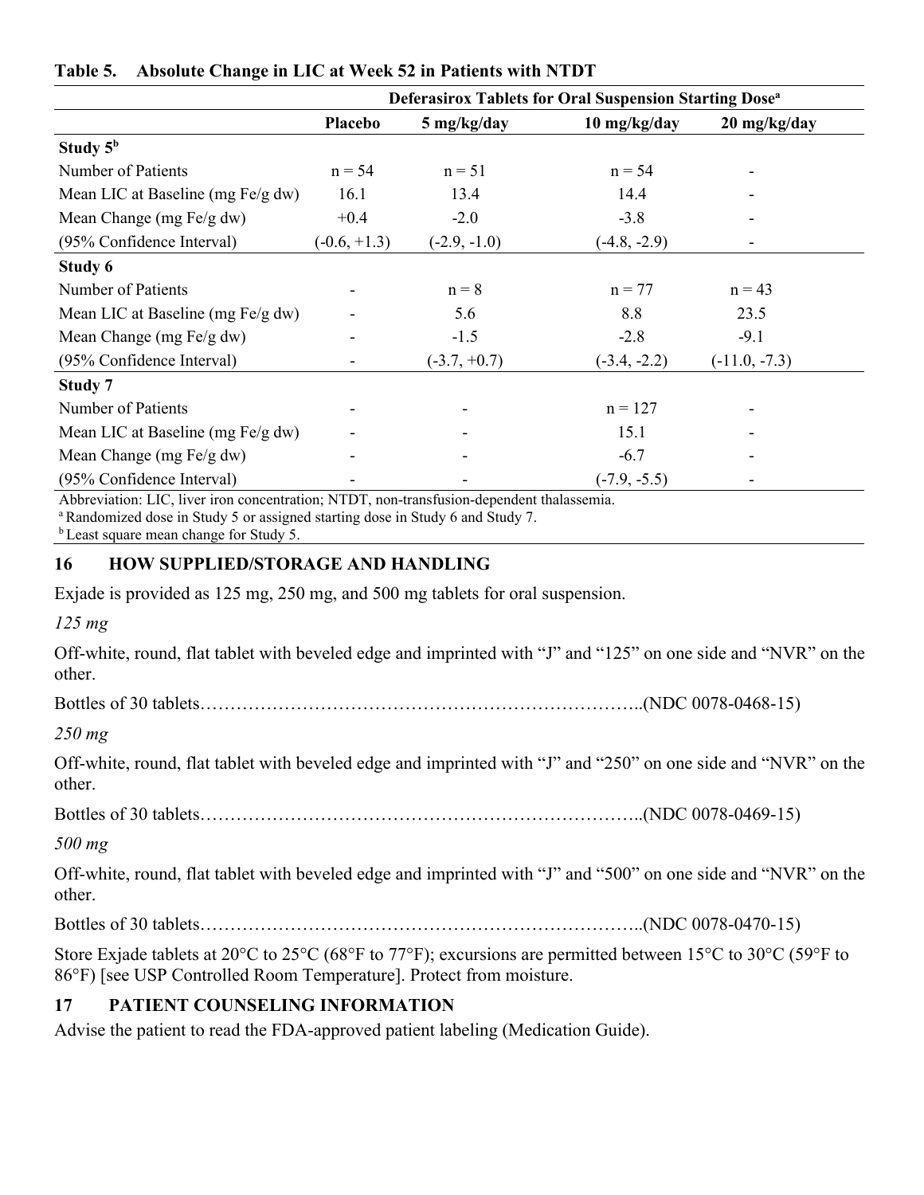|                                   | Deferasirox Tablets for Oral Suspension Starting Dose <sup>a</sup> |                |                |                 |
|-----------------------------------|--------------------------------------------------------------------|----------------|----------------|-----------------|
|                                   | Placebo                                                            | 5 mg/kg/day    | 10 mg/kg/day   | 20 mg/kg/day    |
| Study $5^{\rm b}$                 |                                                                    |                |                |                 |
| Number of Patients                | $n = 54$                                                           | $n = 51$       | $n = 54$       |                 |
| Mean LIC at Baseline (mg Fe/g dw) | 16.1                                                               | 13.4           | 14.4           |                 |
| Mean Change (mg Fe/g dw)          | $+0.4$                                                             | $-2.0$         | $-3.8$         |                 |
| (95% Confidence Interval)         | $(-0.6, +1.3)$                                                     | $(-2.9, -1.0)$ | $(-4.8, -2.9)$ |                 |
| Study 6                           |                                                                    |                |                |                 |
| Number of Patients                |                                                                    | $n = 8$        | $n = 77$       | $n = 43$        |
| Mean LIC at Baseline (mg Fe/g dw) | ۰                                                                  | 5.6            | 8.8            | 23.5            |
| Mean Change (mg Fe/g dw)          |                                                                    | $-1.5$         | $-2.8$         | $-9.1$          |
| (95% Confidence Interval)         |                                                                    | $(-3.7, +0.7)$ | $(-3.4, -2.2)$ | $(-11.0, -7.3)$ |
| Study 7                           |                                                                    |                |                |                 |
| Number of Patients                | ۰                                                                  |                | $n = 127$      |                 |
| Mean LIC at Baseline (mg Fe/g dw) |                                                                    |                | 15.1           |                 |
| Mean Change (mg Fe/g dw)          |                                                                    |                | $-6.7$         |                 |
| (95% Confidence Interval)         |                                                                    |                | $(-7.9, -5.5)$ |                 |

#### <span id="page-24-0"></span>**Table 5. Absolute Change in LIC at Week 52 in Patients with NTDT**

Abbreviation: LIC, liver iron concentration; NTDT, non-transfusion-dependent thalassemia.

<sup>a</sup> Randomized dose in Study 5 or assigned starting dose in Study 6 and Study 7.

<sup>b</sup> Least square mean change for Study 5.

## **16 HOW SUPPLIED/STORAGE AND HANDLING**

Exjade is provided as 125 mg, 250 mg, and 500 mg tablets for oral suspension.

*125 mg*

Off-white, round, flat tablet with beveled edge and imprinted with "J" and "125" on one side and "NVR" on the other.

Bottles of 30 tablets………………………………………………………………..(NDC 0078-0468-15)

## *250 mg*

Off-white, round, flat tablet with beveled edge and imprinted with "J" and "250" on one side and "NVR" on the other.

Bottles of 30 tablets………………………………………………………………..(NDC 0078-0469-15)

*500 mg*

Off-white, round, flat tablet with beveled edge and imprinted with "J" and "500" on one side and "NVR" on the other.

Bottles of 30 tablets………………………………………………………………..(NDC 0078-0470-15)

Store Exjade tablets at 20°C to 25°C (68°F to 77°F); excursions are permitted between 15°C to 30°C (59°F to 86°F) [see USP Controlled Room Temperature]. Protect from moisture.

## **17 PATIENT COUNSELING INFORMATION**

Advise the patient to read the FDA-approved patient labeling (Medication Guide).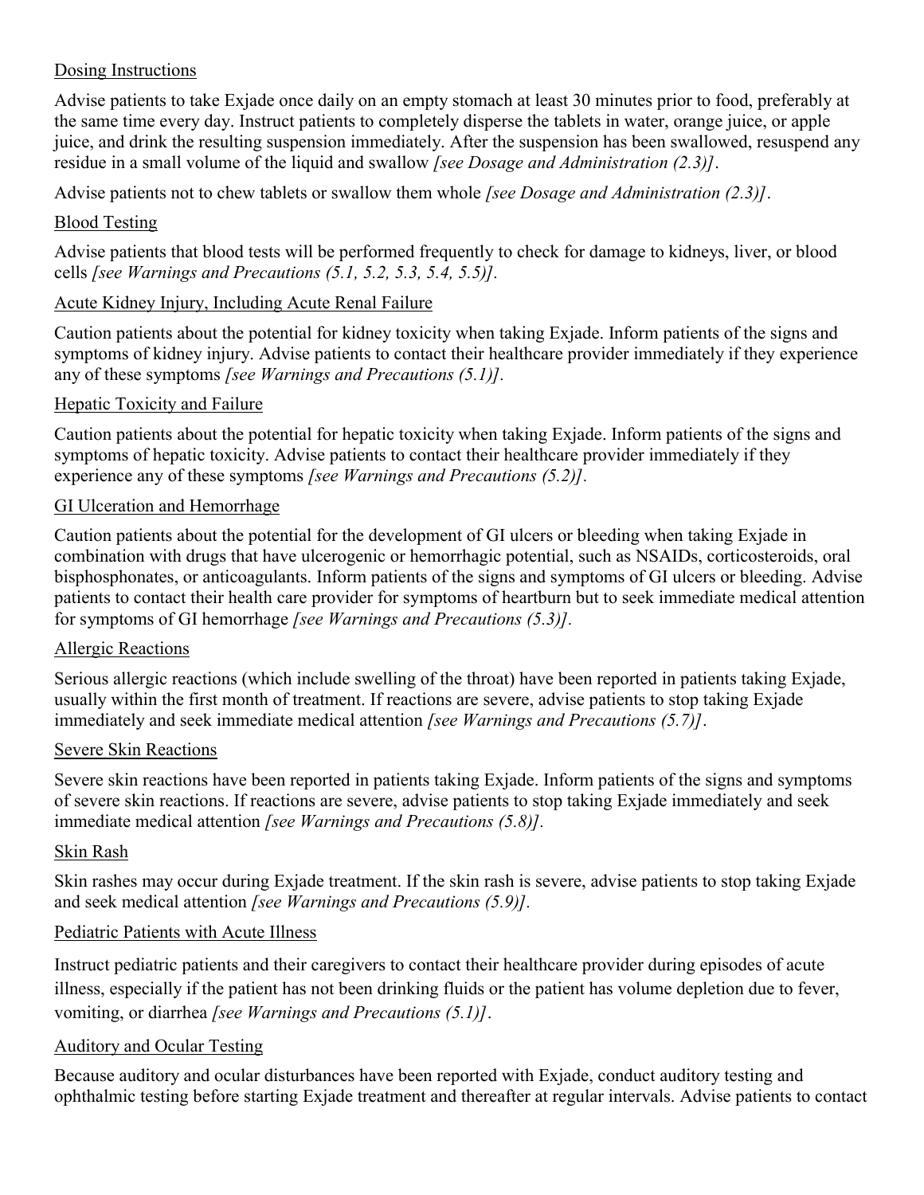#### Dosing Instructions

Advise patients to take Exjade once daily on an empty stomach at least 30 minutes prior to food, preferably at the same time every day. Instruct patients to completely disperse the tablets in water, orange juice, or apple juice, and drink the resulting suspension immediately. After the suspension has been swallowed, resuspend any residue in a small volume of the liquid and swallow *[see Dosage and Administration (2.3)]*.

Advise patients not to chew tablets or swallow them whole *[see Dosage and Administration (2.3)]*.

#### Blood Testing

Advise patients that blood tests will be performed frequently to check for damage to kidneys, liver, or blood cells *[see Warnings and Precautions (5.1, 5.2, 5.3, 5.4, 5.5)].*

#### Acute Kidney Injury, Including Acute Renal Failure

Caution patients about the potential for kidney toxicity when taking Exjade. Inform patients of the signs and symptoms of kidney injury. Advise patients to contact their healthcare provider immediately if they experience any of these symptoms *[see Warnings and Precautions (5.1)].*

#### Hepatic Toxicity and Failure

Caution patients about the potential for hepatic toxicity when taking Exjade. Inform patients of the signs and symptoms of hepatic toxicity. Advise patients to contact their healthcare provider immediately if they experience any of these symptoms *[see Warnings and Precautions (5.2)].*

#### GI Ulceration and Hemorrhage

Caution patients about the potential for the development of GI ulcers or bleeding when taking Exjade in combination with drugs that have ulcerogenic or hemorrhagic potential, such as NSAIDs, corticosteroids, oral bisphosphonates, or anticoagulants. Inform patients of the signs and symptoms of GI ulcers or bleeding. Advise patients to contact their health care provider for symptoms of heartburn but to seek immediate medical attention for symptoms of GI hemorrhage *[see Warnings and Precautions (5.3)].*

#### Allergic Reactions

Serious allergic reactions (which include swelling of the throat) have been reported in patients taking Exjade, usually within the first month of treatment. If reactions are severe, advise patients to stop taking Exjade immediately and seek immediate medical attention *[see Warnings and Precautions (5.7)]*.

#### Severe Skin Reactions

Severe skin reactions have been reported in patients taking Exjade. Inform patients of the signs and symptoms of severe skin reactions. If reactions are severe, advise patients to stop taking Exjade immediately and seek immediate medical attention *[see Warnings and Precautions (5.8)].*

#### Skin Rash

Skin rashes may occur during Exjade treatment. If the skin rash is severe, advise patients to stop taking Exjade and seek medical attention *[see Warnings and Precautions (5.9)].*

#### Pediatric Patients with Acute Illness

Instruct pediatric patients and their caregivers to contact their healthcare provider during episodes of acute illness, especially if the patient has not been drinking fluids or the patient has volume depletion due to fever, vomiting, or diarrhea *[see Warnings and Precautions (5.1)]*.

#### Auditory and Ocular Testing

Because auditory and ocular disturbances have been reported with Exjade, conduct auditory testing and ophthalmic testing before starting Exjade treatment and thereafter at regular intervals. Advise patients to contact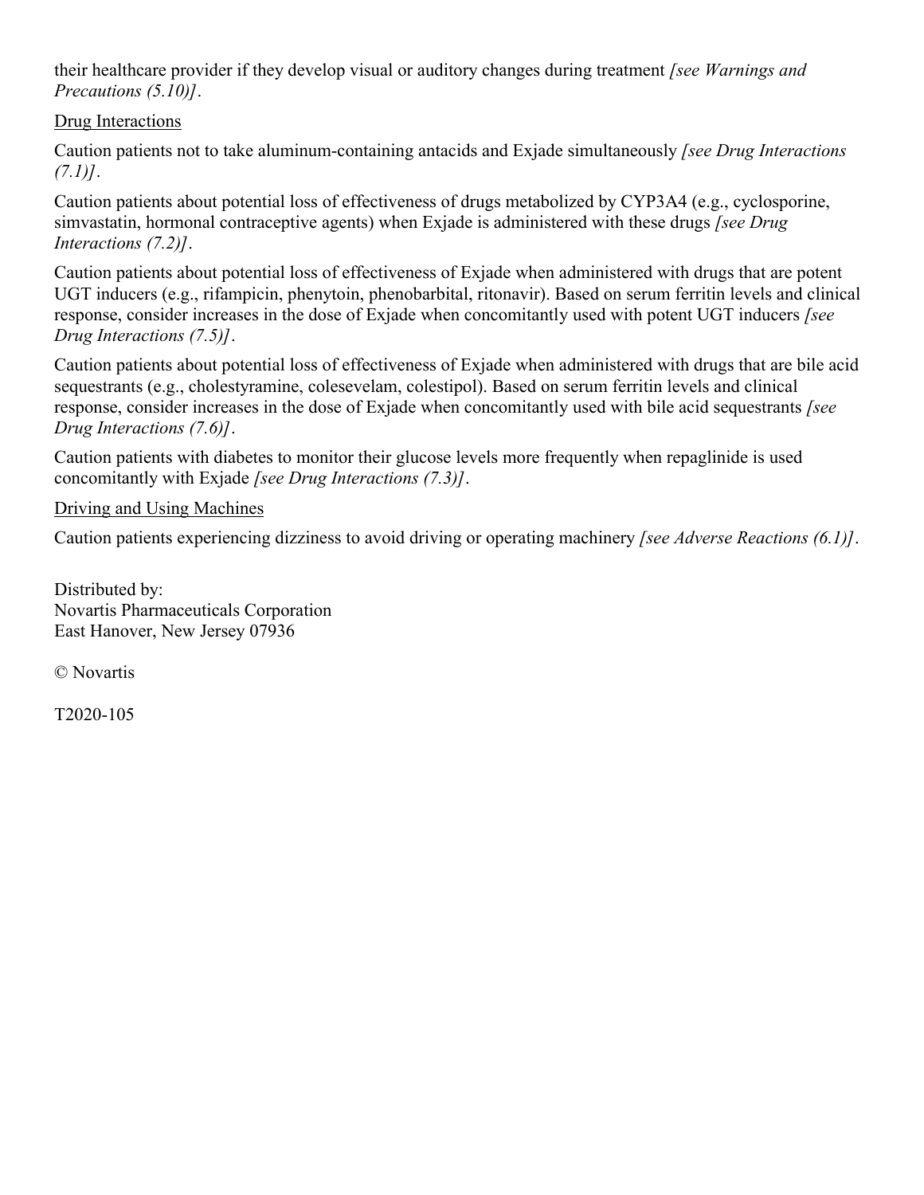their healthcare provider if they develop visual or auditory changes during treatment *[see Warnings and Precautions (5.10)]*.

#### Drug Interactions

Caution patients not to take aluminum-containing antacids and Exjade simultaneously *[see Drug Interactions (7.1)]*.

Caution patients about potential loss of effectiveness of drugs metabolized by CYP3A4 (e.g., cyclosporine, simvastatin, hormonal contraceptive agents) when Exjade is administered with these drugs *[see Drug Interactions (7.2)]*.

Caution patients about potential loss of effectiveness of Exjade when administered with drugs that are potent UGT inducers (e.g., rifampicin, phenytoin, phenobarbital, ritonavir). Based on serum ferritin levels and clinical response, consider increases in the dose of Exjade when concomitantly used with potent UGT inducers *[see Drug Interactions (7.5)]*.

Caution patients about potential loss of effectiveness of Exjade when administered with drugs that are bile acid sequestrants (e.g., cholestyramine, colesevelam, colestipol). Based on serum ferritin levels and clinical response, consider increases in the dose of Exjade when concomitantly used with bile acid sequestrants *[see Drug Interactions (7.6)]*.

Caution patients with diabetes to monitor their glucose levels more frequently when repaglinide is used concomitantly with Exjade *[see Drug Interactions (7.3)]*.

#### Driving and Using Machines

Caution patients experiencing dizziness to avoid driving or operating machinery *[see Adverse Reactions (6.1)]*.

Distributed by: Novartis Pharmaceuticals Corporation East Hanover, New Jersey 07936

© Novartis

T2020-105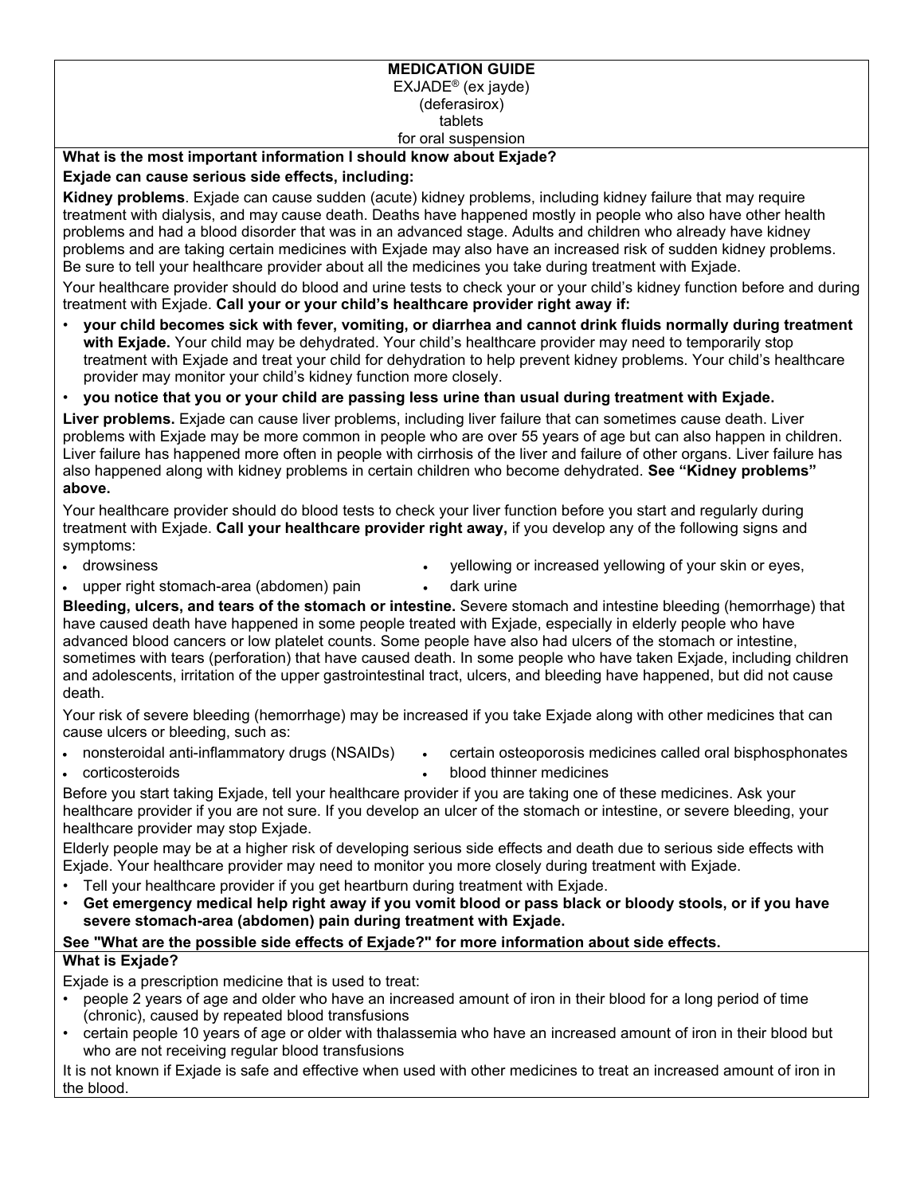#### **MEDICATION GUIDE** EXJADE® (ex jayde) (deferasirox) tablets for oral suspension

#### **What is the most important information I should know about Exjade?**

#### **Exjade can cause serious side effects, including:**

**Kidney problems**. Exjade can cause sudden (acute) kidney problems, including kidney failure that may require treatment with dialysis, and may cause death. Deaths have happened mostly in people who also have other health problems and had a blood disorder that was in an advanced stage. Adults and children who already have kidney problems and are taking certain medicines with Exjade may also have an increased risk of sudden kidney problems. Be sure to tell your healthcare provider about all the medicines you take during treatment with Exjade.

Your healthcare provider should do blood and urine tests to check your or your child's kidney function before and during treatment with Exjade. **Call your or your child's healthcare provider right away if:**

- **your child becomes sick with fever, vomiting, or diarrhea and cannot drink fluids normally during treatment with Exjade.** Your child may be dehydrated. Your child's healthcare provider may need to temporarily stop treatment with Exjade and treat your child for dehydration to help prevent kidney problems. Your child's healthcare provider may monitor your child's kidney function more closely.
- **you notice that you or your child are passing less urine than usual during treatment with Exjade.**

**Liver problems.** Exjade can cause liver problems, including liver failure that can sometimes cause death. Liver problems with Exjade may be more common in people who are over 55 years of age but can also happen in children. Liver failure has happened more often in people with cirrhosis of the liver and failure of other organs. Liver failure has also happened along with kidney problems in certain children who become dehydrated. **See "Kidney problems" above.**

Your healthcare provider should do blood tests to check your liver function before you start and regularly during treatment with Exjade. **Call your healthcare provider right away,** if you develop any of the following signs and symptoms:

drowsiness

- yellowing or increased yellowing of your skin or eyes,
- upper right stomach-area (abdomen) pain
- dark urine

**Bleeding, ulcers, and tears of the stomach or intestine.** Severe stomach and intestine bleeding (hemorrhage) that have caused death have happened in some people treated with Exjade, especially in elderly people who have advanced blood cancers or low platelet counts. Some people have also had ulcers of the stomach or intestine, sometimes with tears (perforation) that have caused death. In some people who have taken Exjade, including children and adolescents, irritation of the upper gastrointestinal tract, ulcers, and bleeding have happened, but did not cause death.

Your risk of severe bleeding (hemorrhage) may be increased if you take Exjade along with other medicines that can cause ulcers or bleeding, such as:

- nonsteroidal anti-inflammatory drugs (NSAIDs)
- certain osteoporosis medicines called oral bisphosphonates

corticosteroids

blood thinner medicines

Before you start taking Exjade, tell your healthcare provider if you are taking one of these medicines. Ask your healthcare provider if you are not sure. If you develop an ulcer of the stomach or intestine, or severe bleeding, your healthcare provider may stop Exjade.

Elderly people may be at a higher risk of developing serious side effects and death due to serious side effects with Exjade. Your healthcare provider may need to monitor you more closely during treatment with Exjade.

- Tell your healthcare provider if you get heartburn during treatment with Exjade.
- **Get emergency medical help right away if you vomit blood or pass black or bloody stools, or if you have severe stomach-area (abdomen) pain during treatment with Exjade.**

#### **See "What are the possible side effects of Exjade?" for more information about side effects.**

#### **What is Exjade?**

Exjade is a prescription medicine that is used to treat:

- people 2 years of age and older who have an increased amount of iron in their blood for a long period of time (chronic), caused by repeated blood transfusions
- certain people 10 years of age or older with thalassemia who have an increased amount of iron in their blood but who are not receiving regular blood transfusions

It is not known if Exjade is safe and effective when used with other medicines to treat an increased amount of iron in the blood.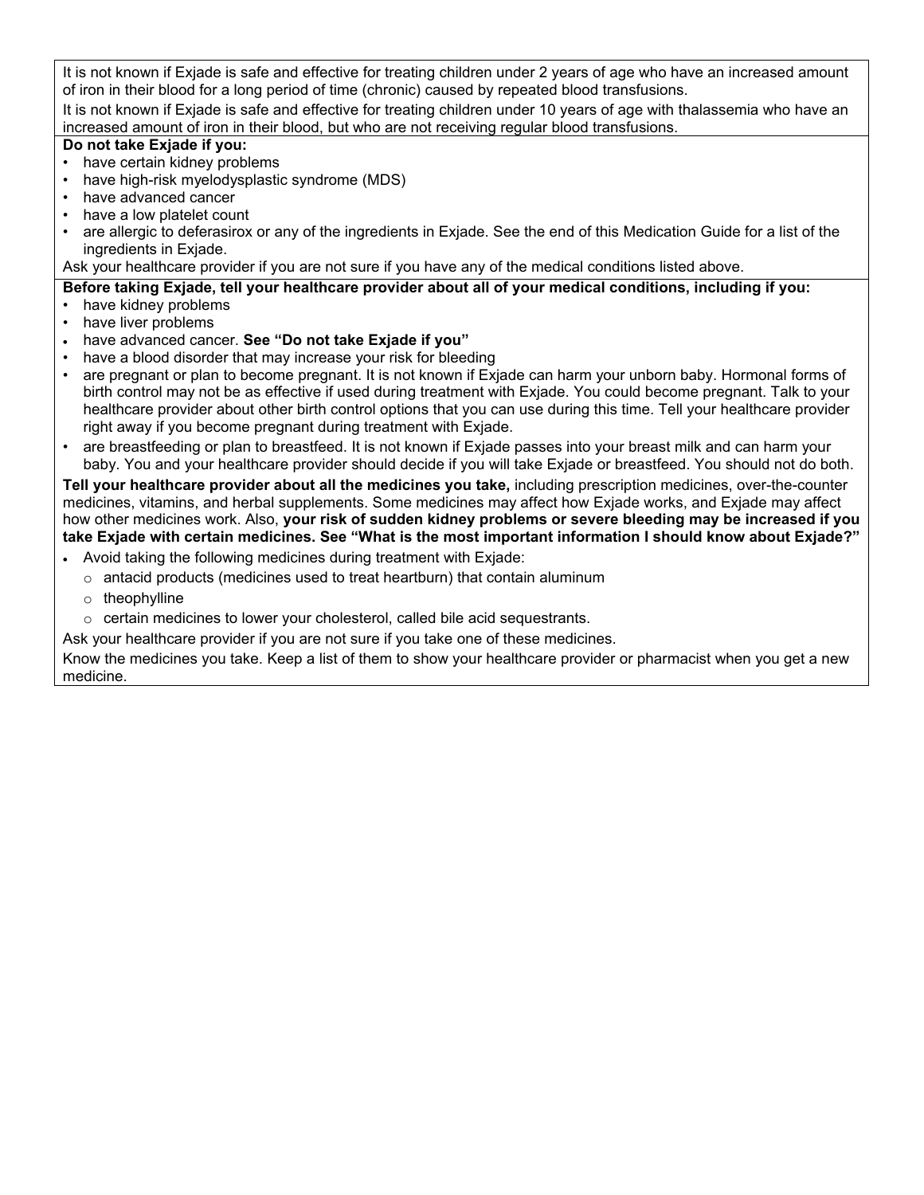It is not known if Exjade is safe and effective for treating children under 2 years of age who have an increased amount of iron in their blood for a long period of time (chronic) caused by repeated blood transfusions.

It is not known if Exjade is safe and effective for treating children under 10 years of age with thalassemia who have an increased amount of iron in their blood, but who are not receiving regular blood transfusions.

#### **Do not take Exjade if you:**

- have certain kidney problems
- have high-risk myelodysplastic syndrome (MDS)
- have advanced cancer
- have a low platelet count
- are allergic to deferasirox or any of the ingredients in Exjade. See the end of this Medication Guide for a list of the ingredients in Exjade.

Ask your healthcare provider if you are not sure if you have any of the medical conditions listed above.

**Before taking Exjade, tell your healthcare provider about all of your medical conditions, including if you:** • have kidney problems

- have liver problems
- have advanced cancer. **See "Do not take Exjade if you"**
- have a blood disorder that may increase your risk for bleeding
- are pregnant or plan to become pregnant. It is not known if Exjade can harm your unborn baby. Hormonal forms of birth control may not be as effective if used during treatment with Exjade. You could become pregnant. Talk to your healthcare provider about other birth control options that you can use during this time. Tell your healthcare provider right away if you become pregnant during treatment with Exjade.
- are breastfeeding or plan to breastfeed. It is not known if Exjade passes into your breast milk and can harm your baby. You and your healthcare provider should decide if you will take Exjade or breastfeed. You should not do both.

**Tell your healthcare provider about all the medicines you take,** including prescription medicines, over-the-counter medicines, vitamins, and herbal supplements. Some medicines may affect how Exjade works, and Exjade may affect how other medicines work. Also, **your risk of sudden kidney problems or severe bleeding may be increased if you take Exjade with certain medicines. See "What is the most important information I should know about Exjade?"**

- Avoid taking the following medicines during treatment with Exjade:
	- $\circ$  antacid products (medicines used to treat heartburn) that contain aluminum
	- o theophylline
	- $\circ$  certain medicines to lower your cholesterol, called bile acid sequestrants.

Ask your healthcare provider if you are not sure if you take one of these medicines.

Know the medicines you take. Keep a list of them to show your healthcare provider or pharmacist when you get a new medicine.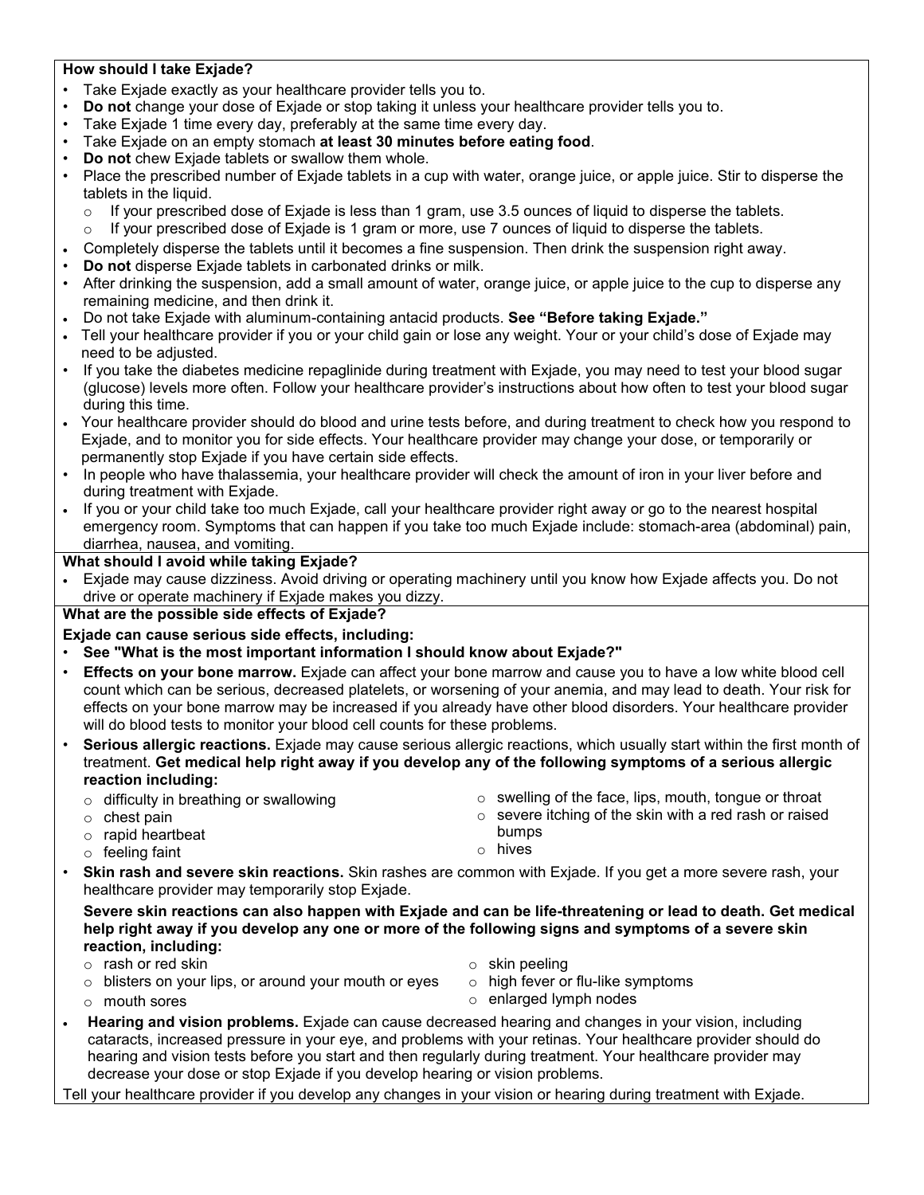#### **How should I take Exjade?**

- Take Exjade exactly as your healthcare provider tells you to.
- **Do not** change your dose of Exjade or stop taking it unless your healthcare provider tells you to.
- Take Exjade 1 time every day, preferably at the same time every day.
- Take Exjade on an empty stomach **at least 30 minutes before eating food**.
- **Do not** chew Exjade tablets or swallow them whole.
- Place the prescribed number of Exjade tablets in a cup with water, orange juice, or apple juice. Stir to disperse the tablets in the liquid.
	- $\circ$  If your prescribed dose of Exjade is less than 1 gram, use 3.5 ounces of liquid to disperse the tablets.
	- $\circ$  If your prescribed dose of Exjade is 1 gram or more, use 7 ounces of liquid to disperse the tablets.
- Completely disperse the tablets until it becomes a fine suspension. Then drink the suspension right away.
- **Do not** disperse Exjade tablets in carbonated drinks or milk.
- After drinking the suspension, add a small amount of water, orange juice, or apple juice to the cup to disperse any remaining medicine, and then drink it.
- Do not take Exjade with aluminum-containing antacid products. **See "Before taking Exjade."**
- Tell your healthcare provider if you or your child gain or lose any weight. Your or your child's dose of Exjade may need to be adjusted.
- If you take the diabetes medicine repaglinide during treatment with Exjade, you may need to test your blood sugar (glucose) levels more often. Follow your healthcare provider's instructions about how often to test your blood sugar during this time.
- Your healthcare provider should do blood and urine tests before, and during treatment to check how you respond to Exjade, and to monitor you for side effects. Your healthcare provider may change your dose, or temporarily or permanently stop Exjade if you have certain side effects.
- In people who have thalassemia, your healthcare provider will check the amount of iron in your liver before and during treatment with Exjade.
- If you or your child take too much Exjade, call your healthcare provider right away or go to the nearest hospital emergency room. Symptoms that can happen if you take too much Exjade include: stomach-area (abdominal) pain, diarrhea, nausea, and vomiting.

#### **What should I avoid while taking Exjade?**

 Exjade may cause dizziness. Avoid driving or operating machinery until you know how Exjade affects you. Do not drive or operate machinery if Exjade makes you dizzy.

#### **What are the possible side effects of Exjade?**

**Exjade can cause serious side effects, including:**

- **See "What is the most important information I should know about Exjade?"**
- **Effects on your bone marrow.** Exjade can affect your bone marrow and cause you to have a low white blood cell count which can be serious, decreased platelets, or worsening of your anemia, and may lead to death. Your risk for effects on your bone marrow may be increased if you already have other blood disorders. Your healthcare provider will do blood tests to monitor your blood cell counts for these problems.
- **Serious allergic reactions.** Exjade may cause serious allergic reactions, which usually start within the first month of treatment. **Get medical help right away if you develop any of the following symptoms of a serious allergic reaction including:** 
	- o difficulty in breathing or swallowing
	- $\circ$  chest pain
	- o rapid heartbeat
	- o feeling faint
- o swelling of the face, lips, mouth, tongue or throat o severe itching of the skin with a red rash or raised
- bumps o hives
- **Skin rash and severe skin reactions.** Skin rashes are common with Exjade. If you get a more severe rash, your healthcare provider may temporarily stop Exjade.

**Severe skin reactions can also happen with Exjade and can be life-threatening or lead to death. Get medical help right away if you develop any one or more of the following signs and symptoms of a severe skin reaction, including:**

- o rash or red skin
- o blisters on your lips, or around your mouth or eyes
- o skin peeling
- o high fever or flu-like symptoms

o mouth sores

- o enlarged lymph nodes
- **Hearing and vision problems.** Exjade can cause decreased hearing and changes in your vision, including cataracts, increased pressure in your eye, and problems with your retinas. Your healthcare provider should do hearing and vision tests before you start and then regularly during treatment. Your healthcare provider may decrease your dose or stop Exjade if you develop hearing or vision problems.

Tell your healthcare provider if you develop any changes in your vision or hearing during treatment with Exjade.